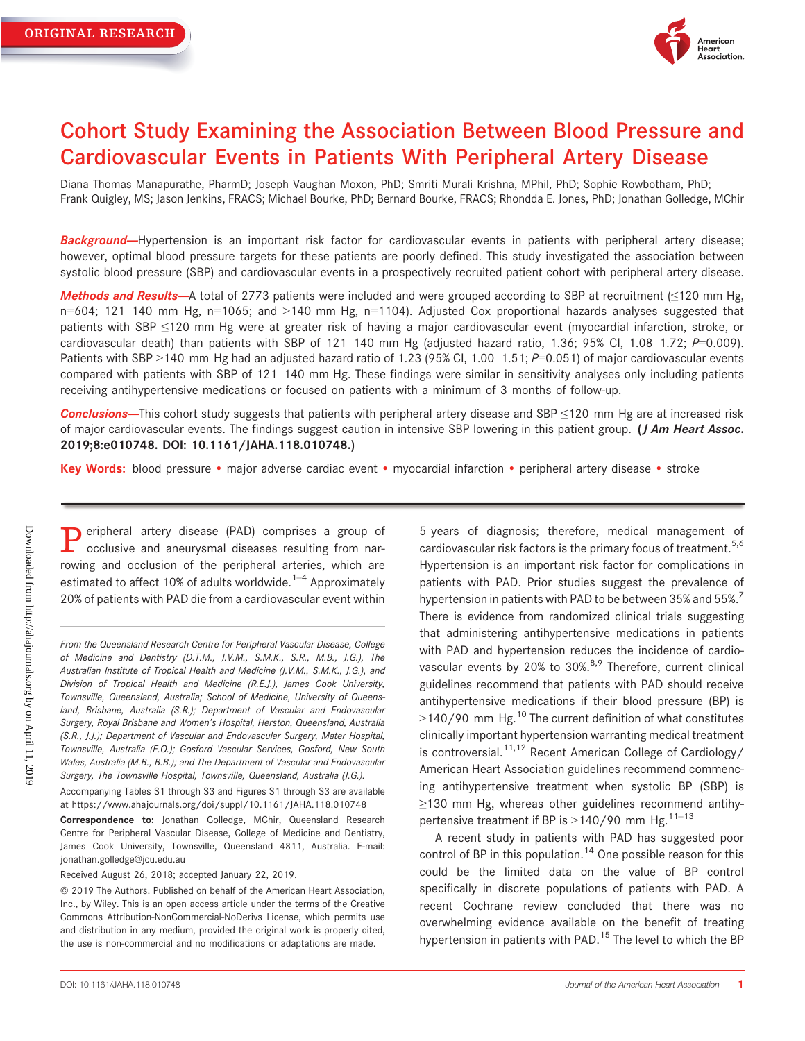

# Cohort Study Examining the Association Between Blood Pressure and Cardiovascular Events in Patients With Peripheral Artery Disease

Diana Thomas Manapurathe, PharmD; Joseph Vaughan Moxon, PhD; Smriti Murali Krishna, MPhil, PhD; Sophie Rowbotham, PhD; Frank Quigley, MS; Jason Jenkins, FRACS; Michael Bourke, PhD; Bernard Bourke, FRACS; Rhondda E. Jones, PhD; Jonathan Golledge, MChir

Background--Hypertension is an important risk factor for cardiovascular events in patients with peripheral artery disease; however, optimal blood pressure targets for these patients are poorly defined. This study investigated the association between systolic blood pressure (SBP) and cardiovascular events in a prospectively recruited patient cohort with peripheral artery disease.

Methods and Results-A total of 2773 patients were included and were grouped according to SBP at recruitment  $\leq 120$  mm Hg, n=604; 121–140 mm Hg, n=1065; and >140 mm Hg, n=1104). Adjusted Cox proportional hazards analyses suggested that patients with SBP ≤120 mm Hg were at greater risk of having a major cardiovascular event (myocardial infarction, stroke, or cardiovascular death) than patients with SBP of 121–140 mm Hg (adjusted hazard ratio, 1.36; 95% CI, 1.08–1.72;  $P=0.009$ ). Patients with SBP >140 mm Hg had an adjusted hazard ratio of 1.23 (95% CI, 1.00–1.51;  $P=0.051$ ) of major cardiovascular events compared with patients with SBP of 121–140 mm Hg. These findings were similar in sensitivity analyses only including patients receiving antihypertensive medications or focused on patients with a minimum of 3 months of follow-up.

**Conclusions**—This cohort study suggests that patients with peripheral artery disease and SBP  $\leq$ 120 mm Hg are at increased risk of major cardiovascular events. The findings suggest caution in intensive SBP lowering in this patient group. (*J Am Heart Assoc*. 2019;8:e010748. DOI: [10.1161/JAHA.118.010748](info:doi/10.1161/JAHA.118.010748).)

Key Words: blood pressure • major adverse cardiac event • myocardial infarction • peripheral artery disease • stroke

Peripheral artery disease (PAD) comprises a group of occlusive and aneurysmal diseases resulting from narrowing and occlusion of the peripheral arteries, which are estimated to affect 10% of adults worldwide.<sup>1–4</sup> Approximately 20% of patients with PAD die from a cardiovascular event within

From the Queensland Research Centre for Peripheral Vascular Disease, College of Medicine and Dentistry (D.T.M., J.V.M., S.M.K., S.R., M.B., J.G.), The Australian Institute of Tropical Health and Medicine (J.V.M., S.M.K., J.G.), and Division of Tropical Health and Medicine (R.E.J.), James Cook University, Townsville, Queensland, Australia; School of Medicine, University of Queensland, Brisbane, Australia (S.R.); Department of Vascular and Endovascular Surgery, Royal Brisbane and Women's Hospital, Herston, Queensland, Australia (S.R., J.J.); Department of Vascular and Endovascular Surgery, Mater Hospital, Townsville, Australia (F.Q.); Gosford Vascular Services, Gosford, New South Wales, Australia (M.B., B.B.); and The Department of Vascular and Endovascular Surgery, The Townsville Hospital, Townsville, Queensland, Australia (J.G.).

Correspondence to: Jonathan Golledge, MChir, Queensland Research Centre for Peripheral Vascular Disease, College of Medicine and Dentistry, James Cook University, Townsville, Queensland 4811, Australia. E-mail: jonathan.golledge@jcu.edu.au

Received August 26, 2018; accepted January 22, 2019.

5 years of diagnosis; therefore, medical management of cardiovascular risk factors is the primary focus of treatment.<sup>5,6</sup> Hypertension is an important risk factor for complications in patients with PAD. Prior studies suggest the prevalence of hypertension in patients with PAD to be between 35% and 55%.<sup>7</sup> There is evidence from randomized clinical trials suggesting that administering antihypertensive medications in patients with PAD and hypertension reduces the incidence of cardiovascular events by 20% to  $30\%$ .<sup>8,9</sup> Therefore, current clinical guidelines recommend that patients with PAD should receive antihypertensive medications if their blood pressure (BP) is  $>$ 140/90 mm Hg.<sup>10</sup> The current definition of what constitutes clinically important hypertension warranting medical treatment is controversial.<sup>11,12</sup> Recent American College of Cardiology/ American Heart Association guidelines recommend commencing antihypertensive treatment when systolic BP (SBP) is ≥130 mm Hg, whereas other guidelines recommend antihypertensive treatment if BP is  $>$ 140/90 mm Hg.<sup>11–13</sup>

A recent study in patients with PAD has suggested poor control of BP in this population.<sup>14</sup> One possible reason for this could be the limited data on the value of BP control specifically in discrete populations of patients with PAD. A recent Cochrane review concluded that there was no overwhelming evidence available on the benefit of treating hypertension in patients with PAD.<sup>15</sup> The level to which the BP

Accompanying Tables S1 through S3 and Figures S1 through S3 are available at<https://www.ahajournals.org/doi/suppl/10.1161/JAHA.118.010748>

<sup>© 2019</sup> The Authors. Published on behalf of the American Heart Association, Inc., by Wiley. This is an open access article under the terms of the [Creative](http://creativecommons.org/licenses/by-nc-nd/4.0/) [Commons Attribution-NonCommercial-NoDerivs](http://creativecommons.org/licenses/by-nc-nd/4.0/) License, which permits use and distribution in any medium, provided the original work is properly cited, the use is non-commercial and no modifications or adaptations are made.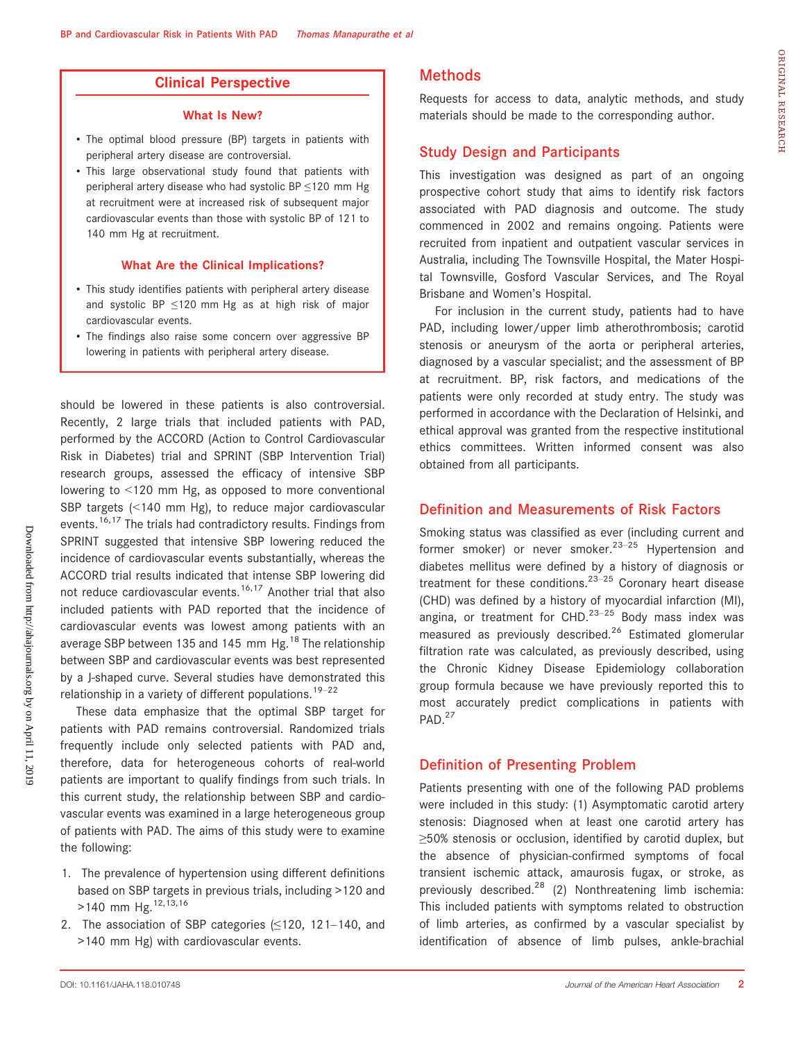# Clinical Perspective

#### What Is New?

- The optimal blood pressure (BP) targets in patients with peripheral artery disease are controversial.
- This large observational study found that patients with peripheral artery disease who had systolic BP ≤120 mm Hg at recruitment were at increased risk of subsequent major cardiovascular events than those with systolic BP of 121 to 140 mm Hg at recruitment.

#### What Are the Clinical Implications?

- This study identifies patients with peripheral artery disease and systolic BP  $\leq$ 120 mm Hg as at high risk of major cardiovascular events.
- The findings also raise some concern over aggressive BP lowering in patients with peripheral artery disease.

should be lowered in these patients is also controversial. Recently, 2 large trials that included patients with PAD, performed by the ACCORD (Action to Control Cardiovascular Risk in Diabetes) trial and SPRINT (SBP Intervention Trial) research groups, assessed the efficacy of intensive SBP lowering to <120 mm Hg, as opposed to more conventional SBP targets (<140 mm Hg), to reduce major cardiovascular events.<sup>16,17</sup> The trials had contradictory results. Findings from SPRINT suggested that intensive SBP lowering reduced the incidence of cardiovascular events substantially, whereas the ACCORD trial results indicated that intense SBP lowering did not reduce cardiovascular events.<sup>16,17</sup> Another trial that also included patients with PAD reported that the incidence of cardiovascular events was lowest among patients with an average SBP between 135 and 145 mm Hg.<sup>18</sup> The relationship between SBP and cardiovascular events was best represented by a J-shaped curve. Several studies have demonstrated this relationship in a variety of different populations.<sup>19–22</sup>

These data emphasize that the optimal SBP target for patients with PAD remains controversial. Randomized trials frequently include only selected patients with PAD and, therefore, data for heterogeneous cohorts of real-world patients are important to qualify findings from such trials. In this current study, the relationship between SBP and cardiovascular events was examined in a large heterogeneous group of patients with PAD. The aims of this study were to examine the following:

- 1. The prevalence of hypertension using different definitions based on SBP targets in previous trials, including >120 and >140 mm Hg. 12, 13, 16
- 2. The association of SBP categories (≤120, 121–140, and >140 mm Hg) with cardiovascular events.

# **Methods**

Requests for access to data, analytic methods, and study materials should be made to the corresponding author.

#### Study Design and Participants

This investigation was designed as part of an ongoing prospective cohort study that aims to identify risk factors associated with PAD diagnosis and outcome. The study commenced in 2002 and remains ongoing. Patients were recruited from inpatient and outpatient vascular services in Australia, including The Townsville Hospital, the Mater Hospital Townsville, Gosford Vascular Services, and The Royal Brisbane and Women's Hospital.

For inclusion in the current study, patients had to have PAD, including lower/upper limb atherothrombosis; carotid stenosis or aneurysm of the aorta or peripheral arteries, diagnosed by a vascular specialist; and the assessment of BP at recruitment. BP, risk factors, and medications of the patients were only recorded at study entry. The study was performed in accordance with the Declaration of Helsinki, and ethical approval was granted from the respective institutional ethics committees. Written informed consent was also obtained from all participants.

#### Definition and Measurements of Risk Factors

Smoking status was classified as ever (including current and former smoker) or never smoker. $23-25$  Hypertension and diabetes mellitus were defined by a history of diagnosis or treatment for these conditions.<sup>23–25</sup> Coronary heart disease (CHD) was defined by a history of myocardial infarction (MI), angina, or treatment for CHD.<sup>23-25</sup> Body mass index was measured as previously described.<sup>26</sup> Estimated glomerular filtration rate was calculated, as previously described, using the Chronic Kidney Disease Epidemiology collaboration group formula because we have previously reported this to most accurately predict complications in patients with  $PAD<sup>27</sup>$ 

#### Definition of Presenting Problem

Patients presenting with one of the following PAD problems were included in this study: (1) Asymptomatic carotid artery stenosis: Diagnosed when at least one carotid artery has ≥50% stenosis or occlusion, identified by carotid duplex, but the absence of physician-confirmed symptoms of focal transient ischemic attack, amaurosis fugax, or stroke, as previously described.<sup>28</sup> (2) Nonthreatening limb ischemia: This included patients with symptoms related to obstruction of limb arteries, as confirmed by a vascular specialist by identification of absence of limb pulses, ankle-brachial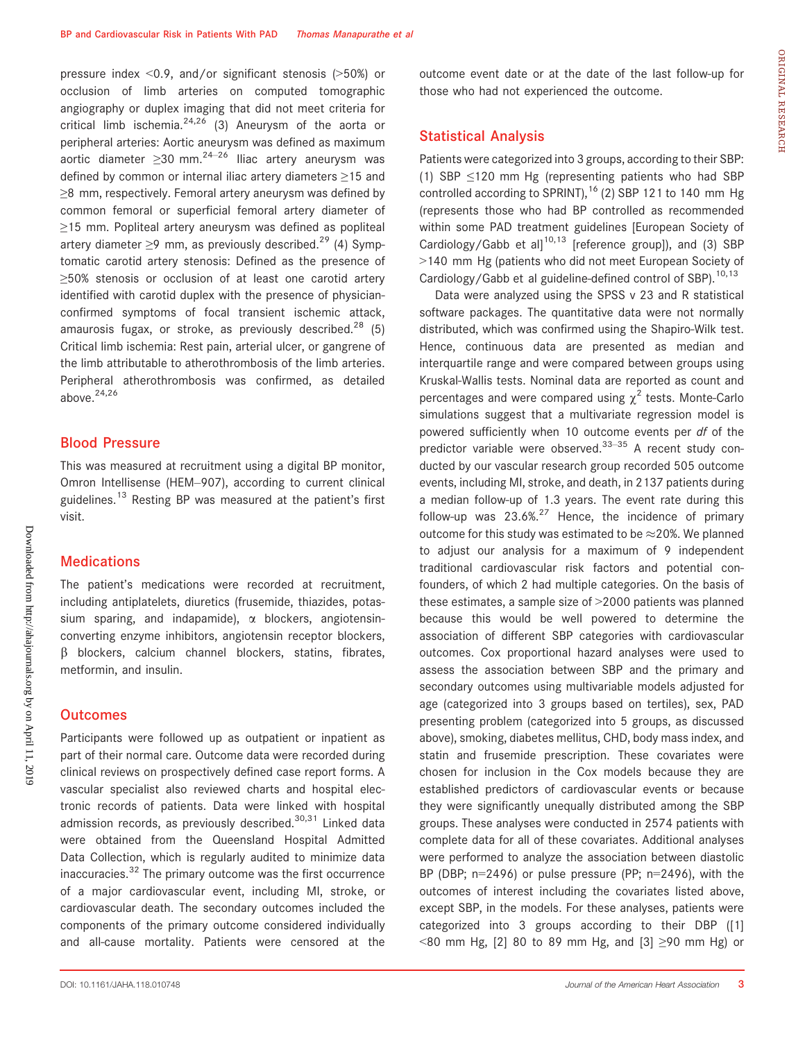pressure index <0.9, and/or significant stenosis (>50%) or occlusion of limb arteries on computed tomographic angiography or duplex imaging that did not meet criteria for critical limb ischemia. $24,26$  (3) Aneurysm of the aorta or peripheral arteries: Aortic aneurysm was defined as maximum aortic diameter  $\geq$ 30 mm.<sup>24–26</sup> Iliac artery aneurysm was defined by common or internal iliac artery diameters ≥15 and ≥8 mm, respectively. Femoral artery aneurysm was defined by common femoral or superficial femoral artery diameter of ≥15 mm. Popliteal artery aneurysm was defined as popliteal artery diameter  $\geq$ 9 mm, as previously described.<sup>29</sup> (4) Symptomatic carotid artery stenosis: Defined as the presence of ≥50% stenosis or occlusion of at least one carotid artery identified with carotid duplex with the presence of physicianconfirmed symptoms of focal transient ischemic attack, amaurosis fugax, or stroke, as previously described.<sup>28</sup> (5) Critical limb ischemia: Rest pain, arterial ulcer, or gangrene of the limb attributable to atherothrombosis of the limb arteries. Peripheral atherothrombosis was confirmed, as detailed above. $24,26$ 

#### Blood Pressure

This was measured at recruitment using a digital BP monitor, Omron Intellisense (HEM–907), according to current clinical guidelines.<sup>13</sup> Resting BP was measured at the patient's first visit.

#### **Medications**

The patient's medications were recorded at recruitment, including antiplatelets, diuretics (frusemide, thiazides, potassium sparing, and indapamide),  $\alpha$  blockers, angiotensinconverting enzyme inhibitors, angiotensin receptor blockers,  $\beta$  blockers, calcium channel blockers, statins, fibrates, metformin, and insulin.

#### **Outcomes**

Participants were followed up as outpatient or inpatient as part of their normal care. Outcome data were recorded during clinical reviews on prospectively defined case report forms. A vascular specialist also reviewed charts and hospital electronic records of patients. Data were linked with hospital admission records, as previously described.<sup>30,31</sup> Linked data were obtained from the Queensland Hospital Admitted Data Collection, which is regularly audited to minimize data inaccuracies.<sup>32</sup> The primary outcome was the first occurrence of a major cardiovascular event, including MI, stroke, or cardiovascular death. The secondary outcomes included the components of the primary outcome considered individually and all-cause mortality. Patients were censored at the

outcome event date or at the date of the last follow-up for those who had not experienced the outcome.

#### Statistical Analysis

Patients were categorized into 3 groups, according to their SBP: (1) SBP  $\leq$ 120 mm Hg (representing patients who had SBP controlled according to SPRINT),  $16$  (2) SBP 121 to 140 mm Hg (represents those who had BP controlled as recommended within some PAD treatment guidelines [European Society of Cardiology/Gabb et al]<sup>10,13</sup> [reference group]), and (3) SBP >140 mm Hg (patients who did not meet European Society of Cardiology/Gabb et al guideline-defined control of SBP).<sup>10,13</sup>

Data were analyzed using the SPSS v 23 and R statistical software packages. The quantitative data were not normally distributed, which was confirmed using the Shapiro-Wilk test. Hence, continuous data are presented as median and interquartile range and were compared between groups using Kruskal-Wallis tests. Nominal data are reported as count and percentages and were compared using  $\chi^2$  tests. Monte-Carlo simulations suggest that a multivariate regression model is powered sufficiently when 10 outcome events per df of the predictor variable were observed.<sup>33–35</sup> A recent study conducted by our vascular research group recorded 505 outcome events, including MI, stroke, and death, in 2137 patients during a median follow-up of 1.3 years. The event rate during this follow-up was  $23.6\%$ <sup>27</sup> Hence, the incidence of primary outcome for this study was estimated to be  $\approx$  20%. We planned to adjust our analysis for a maximum of 9 independent traditional cardiovascular risk factors and potential confounders, of which 2 had multiple categories. On the basis of these estimates, a sample size of >2000 patients was planned because this would be well powered to determine the association of different SBP categories with cardiovascular outcomes. Cox proportional hazard analyses were used to assess the association between SBP and the primary and secondary outcomes using multivariable models adjusted for age (categorized into 3 groups based on tertiles), sex, PAD presenting problem (categorized into 5 groups, as discussed above), smoking, diabetes mellitus, CHD, body mass index, and statin and frusemide prescription. These covariates were chosen for inclusion in the Cox models because they are established predictors of cardiovascular events or because they were significantly unequally distributed among the SBP groups. These analyses were conducted in 2574 patients with complete data for all of these covariates. Additional analyses were performed to analyze the association between diastolic BP (DBP; n=2496) or pulse pressure (PP; n=2496), with the outcomes of interest including the covariates listed above, except SBP, in the models. For these analyses, patients were categorized into 3 groups according to their DBP ([1] <80 mm Hg, [2] 80 to 89 mm Hg, and [3] ≥90 mm Hg) or

Downloaded from http://ahajournals.org by on April 11, 2019

Downloaded from http://ahajournals.org by on April 11, 2019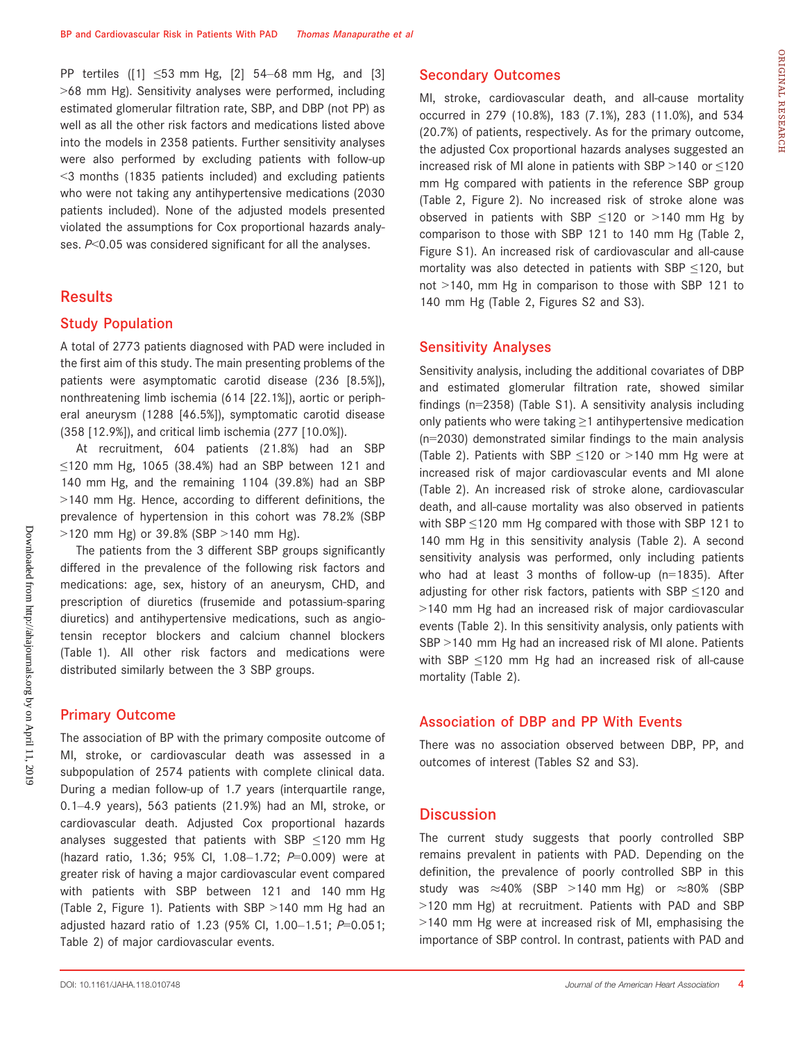PP tertiles ([1] ≤53 mm Hg, [2] 54–68 mm Hg, and [3] >68 mm Hg). Sensitivity analyses were performed, including estimated glomerular filtration rate, SBP, and DBP (not PP) as well as all the other risk factors and medications listed above into the models in 2358 patients. Further sensitivity analyses were also performed by excluding patients with follow-up <3 months (1835 patients included) and excluding patients who were not taking any antihypertensive medications (2030 patients included). None of the adjusted models presented violated the assumptions for Cox proportional hazards analyses. P<0.05 was considered significant for all the analyses.

# **Results**

#### Study Population

A total of 2773 patients diagnosed with PAD were included in the first aim of this study. The main presenting problems of the patients were asymptomatic carotid disease (236 [8.5%]), nonthreatening limb ischemia (614 [22.1%]), aortic or peripheral aneurysm (1288 [46.5%]), symptomatic carotid disease (358 [12.9%]), and critical limb ischemia (277 [10.0%]).

At recruitment, 604 patients (21.8%) had an SBP ≤120 mm Hg, 1065 (38.4%) had an SBP between 121 and 140 mm Hg, and the remaining 1104 (39.8%) had an SBP >140 mm Hg. Hence, according to different definitions, the prevalence of hypertension in this cohort was 78.2% (SBP >120 mm Hg) or 39.8% (SBP >140 mm Hg).

The patients from the 3 different SBP groups significantly differed in the prevalence of the following risk factors and medications: age, sex, history of an aneurysm, CHD, and prescription of diuretics (frusemide and potassium-sparing diuretics) and antihypertensive medications, such as angiotensin receptor blockers and calcium channel blockers (Table 1). All other risk factors and medications were distributed similarly between the 3 SBP groups.

#### Primary Outcome

The association of BP with the primary composite outcome of MI, stroke, or cardiovascular death was assessed in a subpopulation of 2574 patients with complete clinical data. During a median follow-up of 1.7 years (interquartile range, 0.1–4.9 years), 563 patients (21.9%) had an MI, stroke, or cardiovascular death. Adjusted Cox proportional hazards analyses suggested that patients with SBP  $\leq$ 120 mm Hg (hazard ratio, 1.36; 95% CI, 1.08–1.72; P=0.009) were at greater risk of having a major cardiovascular event compared with patients with SBP between 121 and 140 mm Hg (Table 2, Figure 1). Patients with SBP >140 mm Hg had an adjusted hazard ratio of 1.23 (95% Cl, 1.00-1.51;  $P=0.051$ ; Table 2) of major cardiovascular events.

## Secondary Outcomes

MI, stroke, cardiovascular death, and all-cause mortality occurred in 279 (10.8%), 183 (7.1%), 283 (11.0%), and 534 (20.7%) of patients, respectively. As for the primary outcome, the adjusted Cox proportional hazards analyses suggested an increased risk of MI alone in patients with SBP >140 or  $\leq$ 120 mm Hg compared with patients in the reference SBP group (Table 2, Figure 2). No increased risk of stroke alone was observed in patients with SBP  $\leq$ 120 or >140 mm Hg by comparison to those with SBP 121 to 140 mm Hg (Table 2, Figure S1). An increased risk of cardiovascular and all-cause mortality was also detected in patients with SBP  $\leq$ 120, but not >140, mm Hg in comparison to those with SBP 121 to 140 mm Hg (Table 2, Figures S2 and S3).

#### Sensitivity Analyses

Sensitivity analysis, including the additional covariates of DBP and estimated glomerular filtration rate, showed similar findings (n=2358) (Table S1). A sensitivity analysis including only patients who were taking  $\geq$ 1 antihypertensive medication (n=2030) demonstrated similar findings to the main analysis (Table 2). Patients with SBP  $\leq$ 120 or >140 mm Hg were at increased risk of major cardiovascular events and MI alone (Table 2). An increased risk of stroke alone, cardiovascular death, and all-cause mortality was also observed in patients with SBP ≤120 mm Hg compared with those with SBP 121 to 140 mm Hg in this sensitivity analysis (Table 2). A second sensitivity analysis was performed, only including patients who had at least 3 months of follow-up (n=1835). After adjusting for other risk factors, patients with SBP ≤120 and >140 mm Hg had an increased risk of major cardiovascular events (Table 2). In this sensitivity analysis, only patients with SBP >140 mm Hg had an increased risk of MI alone. Patients with SBP  $\leq$ 120 mm Hg had an increased risk of all-cause mortality (Table 2).

# Association of DBP and PP With Events

There was no association observed between DBP, PP, and outcomes of interest (Tables S2 and S3).

#### **Discussion**

The current study suggests that poorly controlled SBP remains prevalent in patients with PAD. Depending on the definition, the prevalence of poorly controlled SBP in this study was  $\approx$ 40% (SBP >140 mm Hg) or  $\approx$ 80% (SBP >120 mm Hg) at recruitment. Patients with PAD and SBP >140 mm Hg were at increased risk of MI, emphasising the importance of SBP control. In contrast, patients with PAD and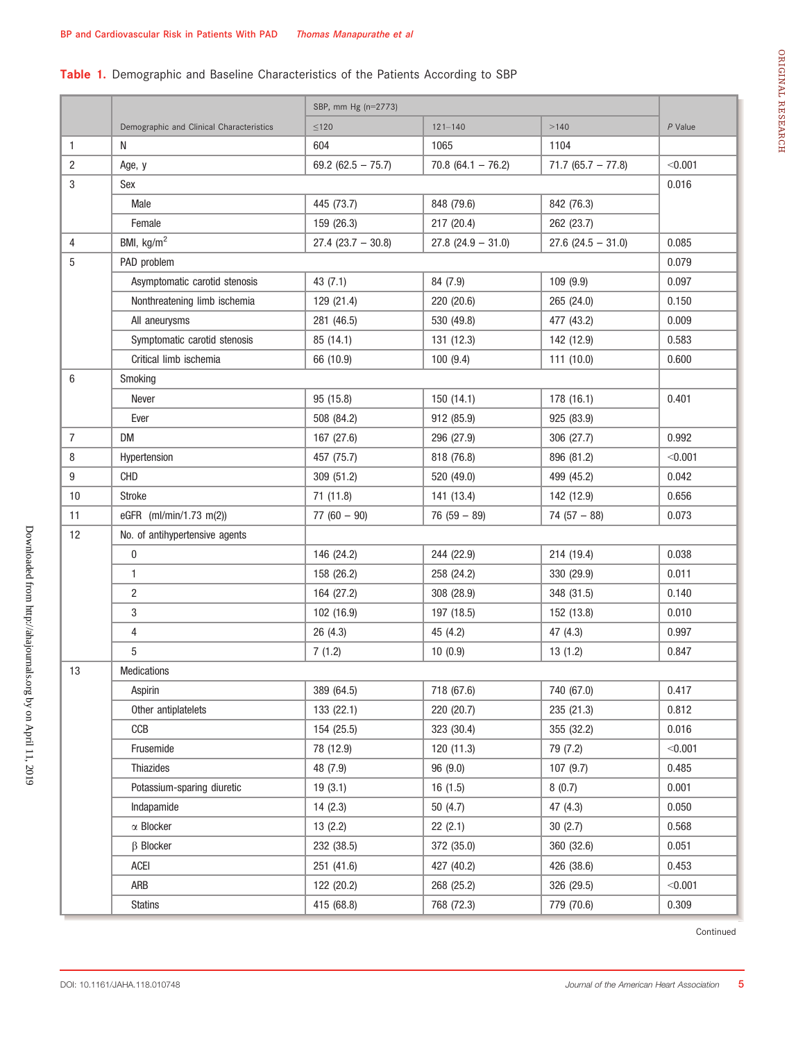# Table 1. Demographic and Baseline Characteristics of the Patients According to SBP

|                |                                          | SBP, mm Hg (n=2773)  |                      |                      |         |
|----------------|------------------------------------------|----------------------|----------------------|----------------------|---------|
|                | Demographic and Clinical Characteristics | $≤120$               | $121 - 140$          | >140                 | P Value |
| $\mathbf{1}$   | N                                        | 604                  | 1065                 | 1104                 |         |
| 2              | Age, y                                   | 69.2 $(62.5 - 75.7)$ | $70.8(64.1 - 76.2)$  | $71.7 (65.7 - 77.8)$ | < 0.001 |
| 3              | Sex                                      |                      |                      |                      |         |
|                | Male                                     | 445 (73.7)           | 848 (79.6)           | 842 (76.3)           |         |
|                | Female                                   | 159 (26.3)           | 217 (20.4)           | 262 (23.7)           |         |
| 4              | BMI, kg/m <sup>2</sup>                   | $27.4$ (23.7 - 30.8) | $27.8$ (24.9 - 31.0) | $27.6$ (24.5 - 31.0) | 0.085   |
| 5              | PAD problem                              |                      |                      |                      | 0.079   |
|                | Asymptomatic carotid stenosis            | 43(7.1)              | 84 (7.9)             | 109 (9.9)            | 0.097   |
|                | Nonthreatening limb ischemia             | 129 (21.4)           | 220 (20.6)           | 265 (24.0)           | 0.150   |
|                | All aneurysms                            | 281 (46.5)           | 530 (49.8)           | 477 (43.2)           | 0.009   |
|                | Symptomatic carotid stenosis             | 85(14.1)             | 131 (12.3)           | 142 (12.9)           | 0.583   |
|                | Critical limb ischemia                   | 66 (10.9)            | 100(9.4)             | 111(10.0)            | 0.600   |
| 6              | Smoking                                  |                      |                      |                      |         |
|                | Never                                    | 95 (15.8)            | 150 (14.1)           | 178 (16.1)           | 0.401   |
|                | Ever                                     | 508 (84.2)           | 912 (85.9)           | 925 (83.9)           |         |
| $\overline{7}$ | <b>DM</b>                                | 167 (27.6)           | 296 (27.9)           | 306 (27.7)           | 0.992   |
| 8              | Hypertension                             | 457 (75.7)           | 818 (76.8)           | 896 (81.2)           | < 0.001 |
| 9              | <b>CHD</b>                               | 309 (51.2)           | 520 (49.0)           | 499 (45.2)           | 0.042   |
| 10             | <b>Stroke</b>                            | 71 (11.8)            | 141 (13.4)           | 142 (12.9)           | 0.656   |
| 11             | eGFR (ml/min/1.73 m(2))                  | $77(60 - 90)$        | $76(59 - 89)$        | $74(57 - 88)$        | 0.073   |
| 12             | No. of antihypertensive agents           |                      |                      |                      |         |
|                | $\pmb{0}$                                | 146 (24.2)           | 244 (22.9)           | 214 (19.4)           | 0.038   |
|                | $\mathbf{1}$                             | 158 (26.2)           | 258 (24.2)           | 330 (29.9)           | 0.011   |
|                | $\overline{2}$                           | 164 (27.2)           | 308 (28.9)           | 348 (31.5)           | 0.140   |
|                | 3                                        | 102 (16.9)           | 197 (18.5)           | 152 (13.8)           | 0.010   |
|                | 4                                        | 26(4.3)              | 45 (4.2)             | 47 (4.3)             | 0.997   |
|                | 5                                        | 7(1.2)               | 10(0.9)              | 13(1.2)              | 0.847   |
| 13             | <b>Medications</b>                       |                      |                      |                      |         |
|                | Aspirin                                  | 389 (64.5)           | 718 (67.6)           | 740 (67.0)           | 0.417   |
|                | Other antiplatelets                      | 133 (22.1)           | 220 (20.7)           | 235 (21.3)           | 0.812   |
|                | CCB                                      | 154 (25.5)           | 323 (30.4)           | 355 (32.2)           | 0.016   |
|                | Frusemide                                | 78 (12.9)            | 120 (11.3)           | 79 (7.2)             | < 0.001 |
|                | Thiazides                                | 48 (7.9)             | 96 (9.0)             | 107(9.7)             | 0.485   |
|                | Potassium-sparing diuretic               | 19(3.1)              | 16(1.5)              | 8(0.7)               | 0.001   |
|                | Indapamide                               | 14(2.3)              | 50(4.7)              | 47(4.3)              | 0.050   |
|                | $\alpha$ Blocker                         | 13(2.2)              | 22(2.1)              | 30(2.7)              | 0.568   |
|                | $\beta$ Blocker                          | 232 (38.5)           | 372 (35.0)           | 360 (32.6)           | 0.051   |
|                | <b>ACEI</b>                              | 251 (41.6)           | 427 (40.2)           | 426 (38.6)           | 0.453   |
|                | ARB                                      | 122 (20.2)           | 268 (25.2)           | 326 (29.5)           | < 0.001 |
|                | <b>Statins</b>                           | 415 (68.8)           | 768 (72.3)           | 779 (70.6)           | 0.309   |

Continued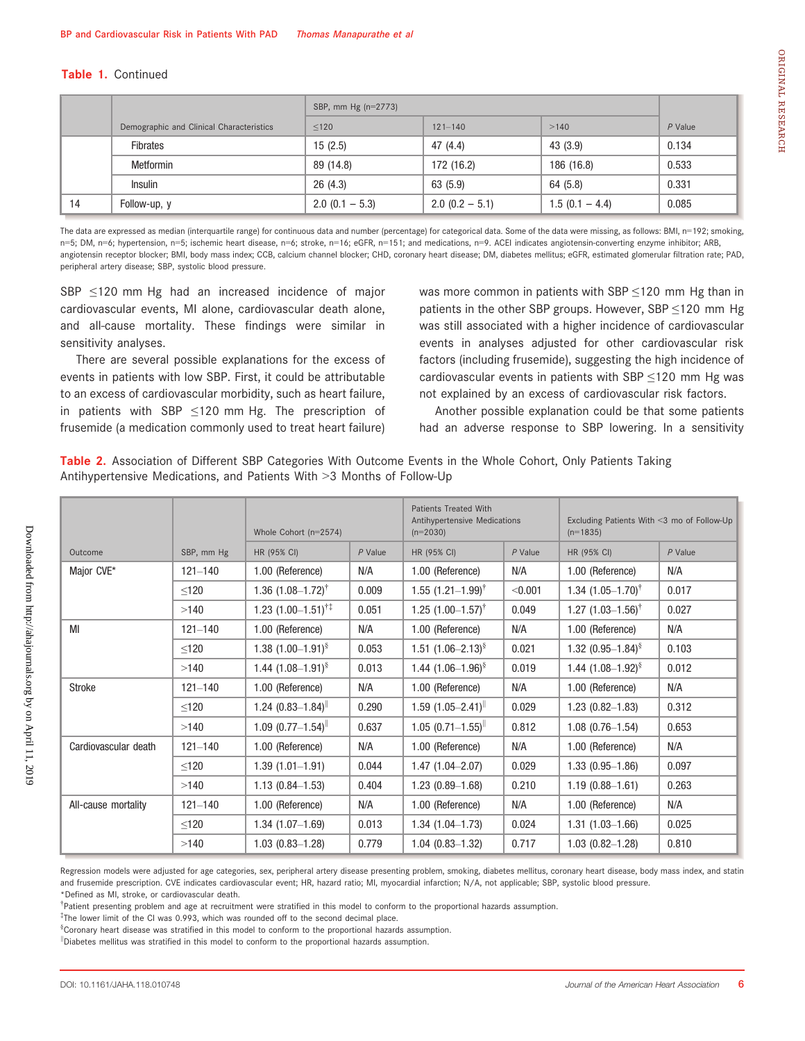#### Table 1. Continued

|    |                                          | SBP, mm Hg (n=2773) |                  |                  |           |
|----|------------------------------------------|---------------------|------------------|------------------|-----------|
|    | Demographic and Clinical Characteristics | < 120               | $121 - 140$      | >140             | $P$ Value |
|    | Fibrates                                 | 15(2.5)             | 47 (4.4)         | 43(3.9)          | 0.134     |
|    | Metformin                                | 89 (14.8)           | 172 (16.2)       | 186 (16.8)       | 0.533     |
|    | Insulin                                  | 26(4.3)             | 63 (5.9)         | 64 (5.8)         | 0.331     |
| 14 | Follow-up, y                             | $2.0(0.1 - 5.3)$    | $2.0(0.2 - 5.1)$ | $1.5(0.1 - 4.4)$ | 0.085     |

The data are expressed as median (interquartile range) for continuous data and number (percentage) for categorical data. Some of the data were missing, as follows: BMI, n=192; smoking, n=5; DM, n=6; hypertension, n=5; ischemic heart disease, n=6; stroke, n=16; eGFR, n=151; and medications, n=9. ACEI indicates angiotensin-converting enzyme inhibitor; ARB, angiotensin receptor blocker; BMI, body mass index; CCB, calcium channel blocker; CHD, coronary heart disease; DM, diabetes mellitus; eGFR, estimated glomerular filtration rate; PAD, peripheral artery disease; SBP, systolic blood pressure.

SBP ≤120 mm Hg had an increased incidence of major cardiovascular events, MI alone, cardiovascular death alone, and all-cause mortality. These findings were similar in sensitivity analyses.

There are several possible explanations for the excess of events in patients with low SBP. First, it could be attributable to an excess of cardiovascular morbidity, such as heart failure, in patients with SBP  $\leq$ 120 mm Hg. The prescription of frusemide (a medication commonly used to treat heart failure) was more common in patients with SBP ≤120 mm Hg than in patients in the other SBP groups. However, SBP ≤120 mm Hg was still associated with a higher incidence of cardiovascular events in analyses adjusted for other cardiovascular risk factors (including frusemide), suggesting the high incidence of cardiovascular events in patients with SBP ≤120 mm Hg was not explained by an excess of cardiovascular risk factors.

Another possible explanation could be that some patients had an adverse response to SBP lowering. In a sensitivity

Table 2. Association of Different SBP Categories With Outcome Events in the Whole Cohort, Only Patients Taking Antihypertensive Medications, and Patients With >3 Months of Follow-Up

|                      |             | Whole Cohort (n=2574)           |           | <b>Patients Treated With</b><br><b>Antihypertensive Medications</b><br>$(n=2030)$ |           | Excluding Patients With <3 mo of Follow-Up<br>$(n=1835)$ |           |
|----------------------|-------------|---------------------------------|-----------|-----------------------------------------------------------------------------------|-----------|----------------------------------------------------------|-----------|
| Outcome              | SBP, mm Hg  | HR (95% CI)                     | $P$ Value | HR (95% CI)                                                                       | $P$ Value | HR (95% CI)                                              | $P$ Value |
| Major CVE*           | $121 - 140$ | 1.00 (Reference)                | N/A       | 1.00 (Reference)                                                                  | N/A       | 1.00 (Reference)                                         | N/A       |
|                      | $\leq120$   | 1.36 $(1.08 - 1.72)^{\dagger}$  | 0.009     | $1.55$ $(1.21 - 1.99)^{\dagger}$                                                  | < 0.001   | 1.34 $(1.05 - 1.70)^{\dagger}$                           | 0.017     |
|                      | >140        | 1.23 $(1.00-1.51)^{+1}$         | 0.051     | 1.25 $(1.00-1.57)^{\dagger}$                                                      | 0.049     | 1.27 $(1.03 - 1.56)^{\dagger}$                           | 0.027     |
| MI                   | $121 - 140$ | 1.00 (Reference)                | N/A       | 1.00 (Reference)                                                                  | N/A       | 1.00 (Reference)                                         | N/A       |
|                      | $\leq120$   | 1.38 $(1.00-1.91)$ <sup>§</sup> | 0.053     | 1.51 $(1.06-2.13)^8$                                                              | 0.021     | 1.32 $(0.95-1.84)$ <sup>§</sup>                          | 0.103     |
|                      | >140        | 1.44 $(1.08 - 1.91)^8$          | 0.013     | 1.44 $(1.06-1.96)^8$                                                              | 0.019     | 1.44 $(1.08-1.92)^{8}$                                   | 0.012     |
| <b>Stroke</b>        | $121 - 140$ | 1.00 (Reference)                | N/A       | 1.00 (Reference)                                                                  | N/A       | 1.00 (Reference)                                         | N/A       |
|                      | $\leq120$   | 1.24 $(0.83 - 1.84)$            | 0.290     | $1.59(1.05 - 2.41)^{  }$                                                          | 0.029     | $1.23$ (0.82-1.83)                                       | 0.312     |
|                      | >140        | 1.09 $(0.77-1.54)$              | 0.637     | $1.05$ (0.71-1.55)                                                                | 0.812     | $1.08(0.76 - 1.54)$                                      | 0.653     |
| Cardiovascular death | $121 - 140$ | 1.00 (Reference)                | N/A       | 1.00 (Reference)                                                                  | N/A       | 1.00 (Reference)                                         | N/A       |
|                      | $\leq120$   | $1.39(1.01 - 1.91)$             | 0.044     | $1.47(1.04 - 2.07)$                                                               | 0.029     | $1.33(0.95 - 1.86)$                                      | 0.097     |
|                      | >140        | $1.13(0.84 - 1.53)$             | 0.404     | $1.23(0.89 - 1.68)$                                                               | 0.210     | $1.19(0.88 - 1.61)$                                      | 0.263     |
| All-cause mortality  | $121 - 140$ | 1.00 (Reference)                | N/A       | 1.00 (Reference)                                                                  | N/A       | 1.00 (Reference)                                         | N/A       |
|                      | $\leq120$   | $1.34(1.07-1.69)$               | 0.013     | $1.34(1.04 - 1.73)$                                                               | 0.024     | $1.31(1.03 - 1.66)$                                      | 0.025     |
|                      | >140        | $1.03(0.83 - 1.28)$             | 0.779     | $1.04(0.83 - 1.32)$                                                               | 0.717     | $1.03(0.82 - 1.28)$                                      | 0.810     |

Regression models were adjusted for age categories, sex, peripheral artery disease presenting problem, smoking, diabetes mellitus, coronary heart disease, body mass index, and statin and frusemide prescription. CVE indicates cardiovascular event; HR, hazard ratio; MI, myocardial infarction; N/A, not applicable; SBP, systolic blood pressure. \*Defined as MI, stroke, or cardiovascular death.

†Patient presenting problem and age at recruitment were stratified in this model to conform to the proportional hazards assumption.<br>‡The lower limit of the CL was 0,002 which was reunded off to the second decimal algee.

<sup>‡</sup>The lower limit of the CI was 0.993, which was rounded off to the second decimal place.

§ Coronary heart disease was stratified in this model to conform to the proportional hazards assumption.

Diabetes mellitus was stratified in this model to conform to the proportional hazards assumption.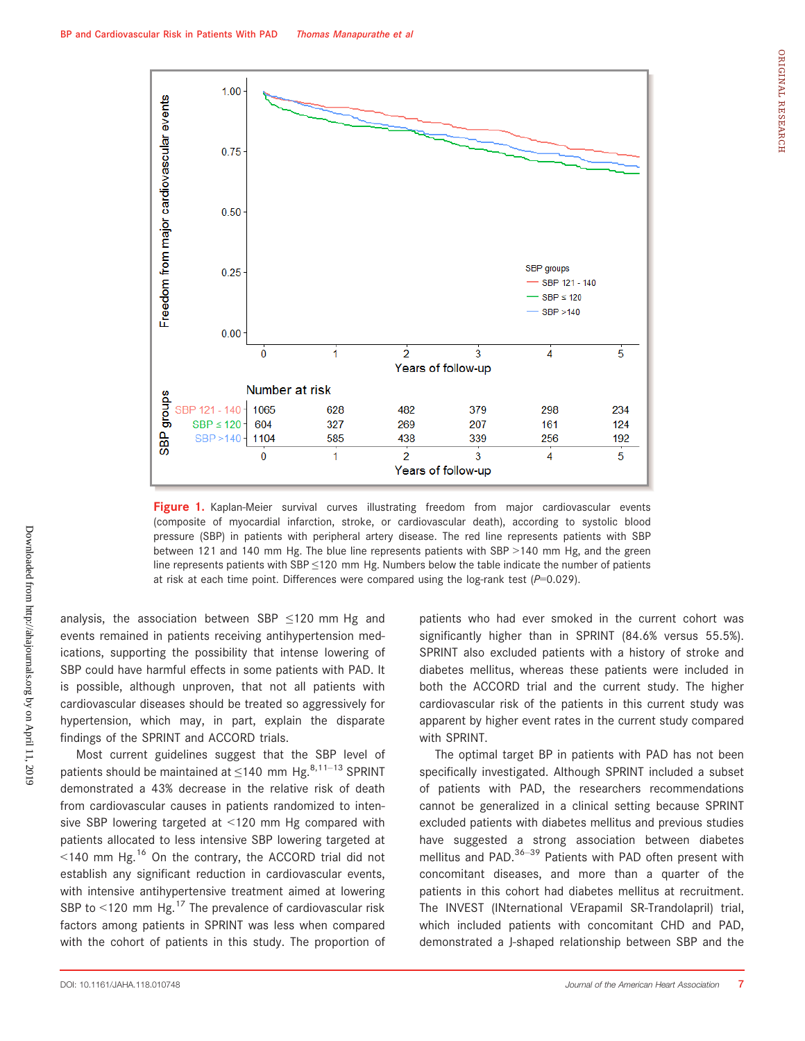

**Figure 1.** Kaplan-Meier survival curves illustrating freedom from major cardiovascular events (composite of myocardial infarction, stroke, or cardiovascular death), according to systolic blood pressure (SBP) in patients with peripheral artery disease. The red line represents patients with SBP between 121 and 140 mm Hg. The blue line represents patients with SBP >140 mm Hg, and the green line represents patients with SBP ≤120 mm Hg. Numbers below the table indicate the number of patients at risk at each time point. Differences were compared using the log-rank test  $(P=0.029)$ .

analysis, the association between SBP  $\leq$ 120 mm Hg and events remained in patients receiving antihypertension medications, supporting the possibility that intense lowering of SBP could have harmful effects in some patients with PAD. It is possible, although unproven, that not all patients with cardiovascular diseases should be treated so aggressively for hypertension, which may, in part, explain the disparate findings of the SPRINT and ACCORD trials.

Most current guidelines suggest that the SBP level of patients should be maintained at ≤140 mm Hg.<sup>8,11–13</sup> SPRINT demonstrated a 43% decrease in the relative risk of death from cardiovascular causes in patients randomized to intensive SBP lowering targeted at <120 mm Hg compared with patients allocated to less intensive SBP lowering targeted at  $140$  mm Hg.<sup>16</sup> On the contrary, the ACCORD trial did not establish any significant reduction in cardiovascular events, with intensive antihypertensive treatment aimed at lowering SBP to  $\leq$ 120 mm Hg.<sup>17</sup> The prevalence of cardiovascular risk factors among patients in SPRINT was less when compared with the cohort of patients in this study. The proportion of patients who had ever smoked in the current cohort was significantly higher than in SPRINT (84.6% versus 55.5%). SPRINT also excluded patients with a history of stroke and diabetes mellitus, whereas these patients were included in both the ACCORD trial and the current study. The higher cardiovascular risk of the patients in this current study was apparent by higher event rates in the current study compared with SPRINT.

The optimal target BP in patients with PAD has not been specifically investigated. Although SPRINT included a subset of patients with PAD, the researchers recommendations cannot be generalized in a clinical setting because SPRINT excluded patients with diabetes mellitus and previous studies have suggested a strong association between diabetes mellitus and PAD.<sup>36–39</sup> Patients with PAD often present with concomitant diseases, and more than a quarter of the patients in this cohort had diabetes mellitus at recruitment. The INVEST (INternational VErapamil SR-Trandolapril) trial, which included patients with concomitant CHD and PAD, demonstrated a J-shaped relationship between SBP and the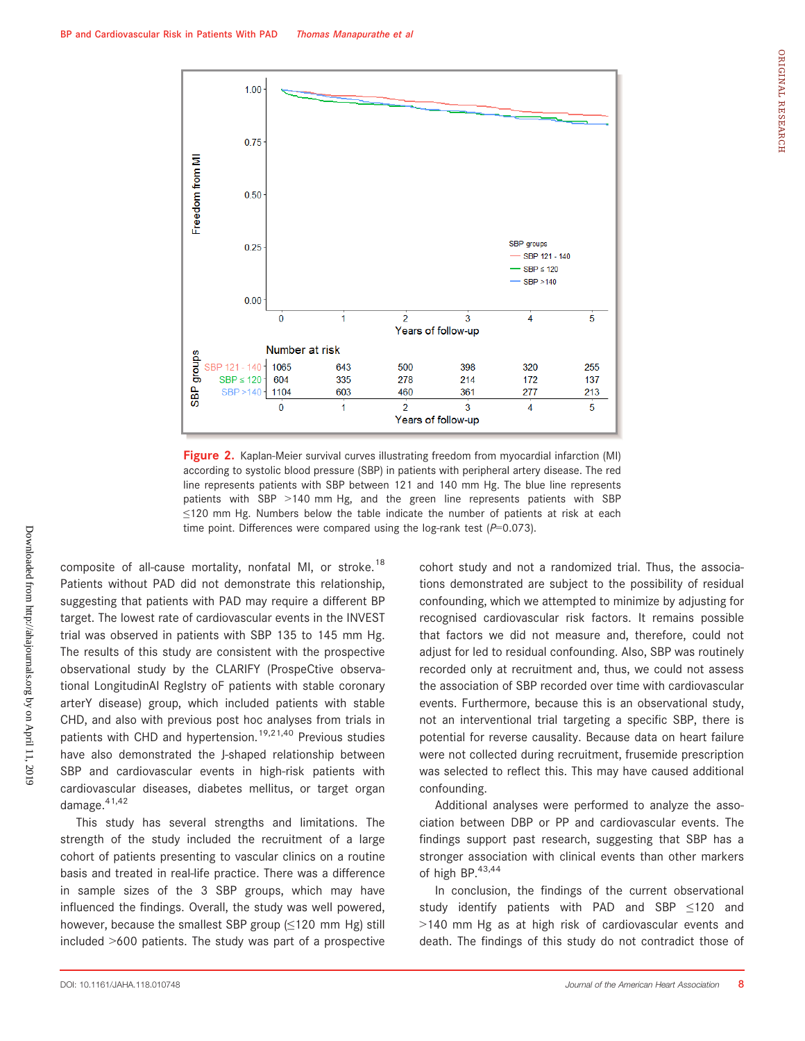

Figure 2. Kaplan-Meier survival curves illustrating freedom from myocardial infarction (MI) according to systolic blood pressure (SBP) in patients with peripheral artery disease. The red line represents patients with SBP between 121 and 140 mm Hg. The blue line represents patients with SBP >140 mm Hg, and the green line represents patients with SBP ≤120 mm Hg. Numbers below the table indicate the number of patients at risk at each time point. Differences were compared using the log-rank test  $(P=0.073)$ .

composite of all-cause mortality, nonfatal MI, or stroke.<sup>18</sup> Patients without PAD did not demonstrate this relationship, suggesting that patients with PAD may require a different BP target. The lowest rate of cardiovascular events in the INVEST trial was observed in patients with SBP 135 to 145 mm Hg. The results of this study are consistent with the prospective observational study by the CLARIFY (ProspeCtive observational LongitudinAl RegIstry oF patients with stable coronary arterY disease) group, which included patients with stable CHD, and also with previous post hoc analyses from trials in patients with CHD and hypertension.<sup>19,21,40</sup> Previous studies have also demonstrated the J-shaped relationship between SBP and cardiovascular events in high-risk patients with cardiovascular diseases, diabetes mellitus, or target organ damage. $41,42$ 

This study has several strengths and limitations. The strength of the study included the recruitment of a large cohort of patients presenting to vascular clinics on a routine basis and treated in real-life practice. There was a difference in sample sizes of the 3 SBP groups, which may have influenced the findings. Overall, the study was well powered, however, because the smallest SBP group  $(\leq 120 \text{ mm Hg})$  still included >600 patients. The study was part of a prospective cohort study and not a randomized trial. Thus, the associations demonstrated are subject to the possibility of residual confounding, which we attempted to minimize by adjusting for recognised cardiovascular risk factors. It remains possible that factors we did not measure and, therefore, could not adjust for led to residual confounding. Also, SBP was routinely recorded only at recruitment and, thus, we could not assess the association of SBP recorded over time with cardiovascular events. Furthermore, because this is an observational study, not an interventional trial targeting a specific SBP, there is potential for reverse causality. Because data on heart failure were not collected during recruitment, frusemide prescription was selected to reflect this. This may have caused additional confounding.

Additional analyses were performed to analyze the association between DBP or PP and cardiovascular events. The findings support past research, suggesting that SBP has a stronger association with clinical events than other markers of high BP. $43,44$ 

In conclusion, the findings of the current observational study identify patients with PAD and SBP ≤120 and >140 mm Hg as at high risk of cardiovascular events and death. The findings of this study do not contradict those of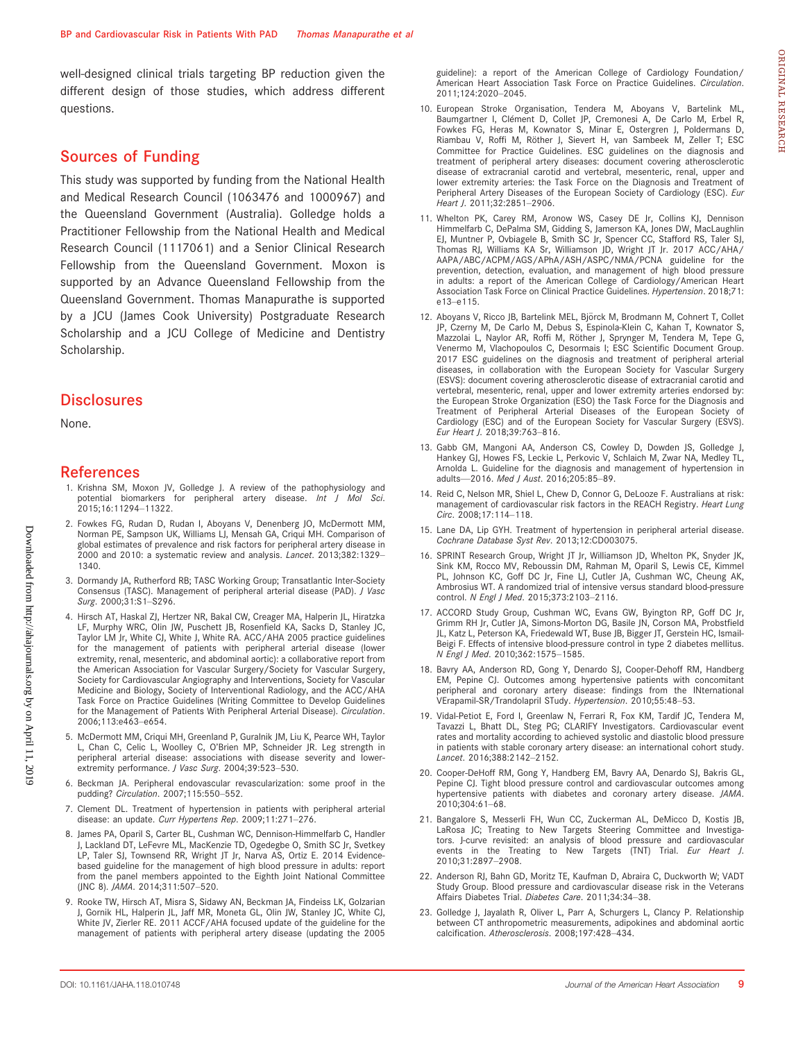well-designed clinical trials targeting BP reduction given the different design of those studies, which address different questions.

# Sources of Funding

This study was supported by funding from the National Health and Medical Research Council (1063476 and 1000967) and the Queensland Government (Australia). Golledge holds a Practitioner Fellowship from the National Health and Medical Research Council (1117061) and a Senior Clinical Research Fellowship from the Queensland Government. Moxon is supported by an Advance Queensland Fellowship from the Queensland Government. Thomas Manapurathe is supported by a JCU (James Cook University) Postgraduate Research Scholarship and a JCU College of Medicine and Dentistry Scholarship.

# **Disclosures**

None.

#### References

- 1. Krishna SM, Moxon JV, Golledge J. A review of the pathophysiology and potential biomarkers for peripheral artery disease. Int J Mol Sci. 2015;16:11294–11322.
- 2. Fowkes FG, Rudan D, Rudan I, Aboyans V, Denenberg JO, McDermott MM, Norman PE, Sampson UK, Williams LJ, Mensah GA, Criqui MH. Comparison of global estimates of prevalence and risk factors for peripheral artery disease in 2000 and 2010: a systematic review and analysis. Lancet. 2013;382:1329– 1340.
- 3. Dormandy JA, Rutherford RB; TASC Working Group; Transatlantic Inter-Society Consensus (TASC). Management of peripheral arterial disease (PAD). J Vasc Surg. 2000;31:S1–S296.
- 4. Hirsch AT, Haskal ZJ, Hertzer NR, Bakal CW, Creager MA, Halperin JL, Hiratzka LF, Murphy WRC, Olin JW, Puschett JB, Rosenfield KA, Sacks D, Stanley JC, Taylor LM Jr, White CJ, White J, White RA. ACC/AHA 2005 practice guidelines for the management of patients with peripheral arterial disease (lower extremity, renal, mesenteric, and abdominal aortic): a collaborative report from the American Association for Vascular Surgery/Society for Vascular Surgery, Society for Cardiovascular Angiography and Interventions, Society for Vascular Medicine and Biology, Society of Interventional Radiology, and the ACC/AHA Task Force on Practice Guidelines (Writing Committee to Develop Guidelines for the Management of Patients With Peripheral Arterial Disease). Circulation. 2006;113:e463–e654.
- 5. McDermott MM, Criqui MH, Greenland P, Guralnik JM, Liu K, Pearce WH, Taylor L, Chan C, Celic L, Woolley C, O'Brien MP, Schneider JR. Leg strength in peripheral arterial disease: associations with disease severity and lowerextremity performance. J Vasc Surg. 2004;39:523-530.
- 6. Beckman JA. Peripheral endovascular revascularization: some proof in the pudding? Circulation. 2007;115:550–552.
- 7. Clement DL. Treatment of hypertension in patients with peripheral arterial disease: an update. Curr Hypertens Rep. 2009;11:271-276.
- 8. James PA, Oparil S, Carter BL, Cushman WC, Dennison-Himmelfarb C, Handler J, Lackland DT, LeFevre ML, MacKenzie TD, Ogedegbe O, Smith SC Jr, Svetkey LP, Taler SJ, Townsend RR, Wright JT Jr, Narva AS, Ortiz E. 2014 Evidencebased guideline for the management of high blood pressure in adults: report from the panel members appointed to the Eighth Joint National Committee (JNC 8). JAMA. 2014;311:507–520.
- 9. Rooke TW, Hirsch AT, Misra S, Sidawy AN, Beckman JA, Findeiss LK, Golzarian J, Gornik HL, Halperin JL, Jaff MR, Moneta GL, Olin JW, Stanley JC, White CJ, White JV, Zierler RE. 2011 ACCF/AHA focused update of the guideline for the management of patients with peripheral artery disease (updating the 2005

guideline): a report of the American College of Cardiology Foundation/ American Heart Association Task Force on Practice Guidelines. Circulation. 2011;124:2020–2045.

- 10. European Stroke Organisation, Tendera M, Aboyans V, Bartelink ML, Baumgartner I, Clement D, Collet JP, Cremonesi A, De Carlo M, Erbel R, Fowkes FG, Heras M, Kownator S, Minar E, Ostergren J, Poldermans D, Riambau V, Roffi M, Röther J, Sievert H, van Sambeek M, Zeller T; ESC Committee for Practice Guidelines. ESC guidelines on the diagnosis and treatment of peripheral artery diseases: document covering atherosclerotic disease of extracranial carotid and vertebral, mesenteric, renal, upper and lower extremity arteries: the Task Force on the Diagnosis and Treatment of Peripheral Artery Diseases of the European Society of Cardiology (ESC). Eur Heart J. 2011;32:2851–2906.
- 11. Whelton PK, Carey RM, Aronow WS, Casey DE Jr, Collins KJ, Dennison Himmelfarb C, DePalma SM, Gidding S, Jamerson KA, Jones DW, MacLaughlin EJ, Muntner P, Ovbiagele B, Smith SC Jr, Spencer CC, Stafford RS, Taler SJ, Thomas RJ, Williams KA Sr, Williamson JD, Wright JT Jr. 2017 ACC/AHA/ AAPA/ABC/ACPM/AGS/APhA/ASH/ASPC/NMA/PCNA guideline for the prevention, detection, evaluation, and management of high blood pressure in adults: a report of the American College of Cardiology/American Heart Association Task Force on Clinical Practice Guidelines. Hypertension. 2018;71: e13–e115.
- 12. Aboyans V, Ricco JB, Bartelink MEL, Björck M, Brodmann M, Cohnert T, Collet JP, Czerny M, De Carlo M, Debus S, Espinola-Klein C, Kahan T, Kownator S, Mazzolai L, Naylor AR, Roffi M, Röther J, Sprynger M, Tendera M, Tepe G, Venermo M, Vlachopoulos C, Desormais I; ESC Scientific Document Group. 2017 ESC guidelines on the diagnosis and treatment of peripheral arterial diseases, in collaboration with the European Society for Vascular Surgery (ESVS): document covering atherosclerotic disease of extracranial carotid and vertebral, mesenteric, renal, upper and lower extremity arteries endorsed by: the European Stroke Organization (ESO) the Task Force for the Diagnosis and Treatment of Peripheral Arterial Diseases of the European Society of Cardiology (ESC) and of the European Society for Vascular Surgery (ESVS). Eur Heart J. 2018;39:763–816.
- 13. Gabb GM, Mangoni AA, Anderson CS, Cowley D, Dowden JS, Golledge J, Hankey GJ, Howes FS, Leckie L, Perkovic V, Schlaich M, Zwar NA, Medley TL, Arnolda L. Guideline for the diagnosis and management of hypertension in adults—2016. Med J Aust. 2016;205:85–89.
- 14. Reid C, Nelson MR, Shiel L, Chew D, Connor G, DeLooze F. Australians at risk: management of cardiovascular risk factors in the REACH Registry. Heart Lung Circ. 2008;17:114–118.
- 15. Lane DA, Lip GYH. Treatment of hypertension in peripheral arterial disease. Cochrane Database Syst Rev. 2013;12:CD003075.
- 16. SPRINT Research Group, Wright JT Jr, Williamson JD, Whelton PK, Snyder JK, Sink KM, Rocco MV, Reboussin DM, Rahman M, Oparil S, Lewis CE, Kimmel PL, Johnson KC, Goff DC Jr, Fine LJ, Cutler JA, Cushman WC, Cheung AK, Ambrosius WT. A randomized trial of intensive versus standard blood-pressure control. N Engl J Med. 2015;373:2103-2116.
- 17. ACCORD Study Group, Cushman WC, Evans GW, Byington RP, Goff DC Jr, Grimm RH Jr, Cutler JA, Simons-Morton DG, Basile JN, Corson MA, Probstfield JL, Katz L, Peterson KA, Friedewald WT, Buse JB, Bigger JT, Gerstein HC, Ismail-Beigi F. Effects of intensive blood-pressure control in type 2 diabetes mellitus. N Engl J Med. 2010;362:1575–1585.
- 18. Bavry AA, Anderson RD, Gong Y, Denardo SJ, Cooper-Dehoff RM, Handberg EM, Pepine CJ. Outcomes among hypertensive patients with concomitant peripheral and coronary artery disease: findings from the INternational VErapamil-SR/Trandolapril STudy. Hypertension. 2010;55:48–53.
- 19. Vidal-Petiot E, Ford I, Greenlaw N, Ferrari R, Fox KM, Tardif JC, Tendera M, Tavazzi L, Bhatt DL, Steg PG; CLARIFY Investigators. Cardiovascular event rates and mortality according to achieved systolic and diastolic blood pressure in patients with stable coronary artery disease: an international cohort study. Lancet. 2016;388:2142–2152.
- 20. Cooper-DeHoff RM, Gong Y, Handberg EM, Bavry AA, Denardo SJ, Bakris GL, Pepine CJ. Tight blood pressure control and cardiovascular outcomes among hypertensive patients with diabetes and coronary artery disease. JAMA. 2010;304:61–68.
- 21. Bangalore S, Messerli FH, Wun CC, Zuckerman AL, DeMicco D, Kostis JB, LaRosa JC; Treating to New Targets Steering Committee and Investigators. J-curve revisited: an analysis of blood pressure and cardiovascular<br>events in the Treating to New Targets (TNT) Trial. *Eur Heart J*. 2010;31:2897–2908.
- 22. Anderson RJ, Bahn GD, Moritz TE, Kaufman D, Abraira C, Duckworth W; VADT Study Group. Blood pressure and cardiovascular disease risk in the Veterans Affairs Diabetes Trial. Diabetes Care. 2011;34:34–38.
- 23. Golledge J, Jayalath R, Oliver L, Parr A, Schurgers L, Clancy P. Relationship between CT anthropometric measurements, adipokines and abdominal aortic calcification. Atherosclerosis. 2008;197:428–434.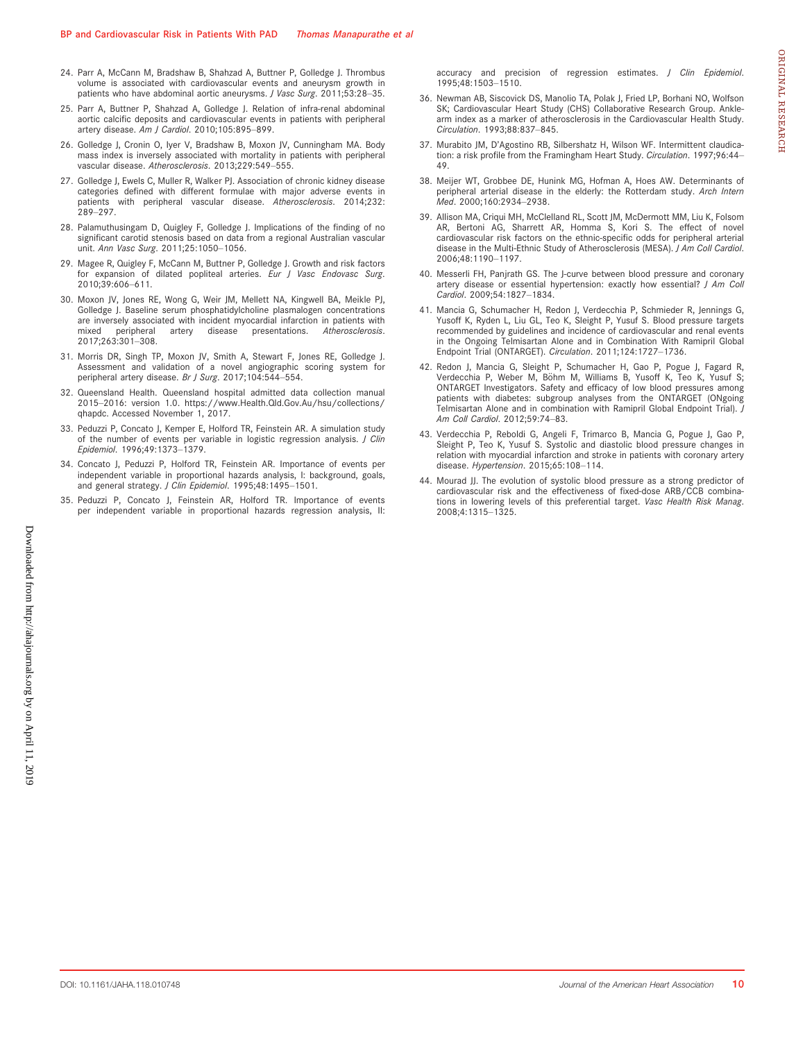- 24. Parr A, McCann M, Bradshaw B, Shahzad A, Buttner P, Golledge J. Thrombus volume is associated with cardiovascular events and aneurysm growth in patients who have abdominal aortic aneurysms. J Vasc Surg. 2011;53:28-35.
- 25. Parr A, Buttner P, Shahzad A, Golledge J. Relation of infra-renal abdominal aortic calcific deposits and cardiovascular events in patients with peripheral artery disease. Am J Cardiol. 2010;105:895–899.
- 26. Golledge J, Cronin O, Iyer V, Bradshaw B, Moxon JV, Cunningham MA. Body mass index is inversely associated with mortality in patients with peripheral vascular disease. Atherosclerosis. 2013;229:549-555.
- 27. Golledge J, Ewels C, Muller R, Walker PJ. Association of chronic kidney disease categories defined with different formulae with major adverse events in patients with peripheral vascular disease. Atherosclerosis. 2014;232: 289–297.
- 28. Palamuthusingam D, Quigley F, Golledge J. Implications of the finding of no significant carotid stenosis based on data from a regional Australian vascular unit. Ann Vasc Surg. 2011;25:1050–1056.
- 29. Magee R, Quigley F, McCann M, Buttner P, Golledge J. Growth and risk factors for expansion of dilated popliteal arteries. Eur J Vasc Endovasc Surg. 2010;39:606–611.
- 30. Moxon JV, Jones RE, Wong G, Weir JM, Mellett NA, Kingwell BA, Meikle PJ, Golledge J. Baseline serum phosphatidylcholine plasmalogen concentrations are inversely associated with incident myocardial infarction in patients with mixed peripheral artery disease presentations. Atherosclerosis. 2017;263:301–308.
- 31. Morris DR, Singh TP, Moxon JV, Smith A, Stewart F, Jones RE, Golledge J. Assessment and validation of a novel angiographic scoring system for peripheral artery disease. Br J Surg. 2017;104:544-554.
- 32. Queensland Health. Queensland hospital admitted data collection manual 2015–2016: version 1.0. [https://www.Health.Qld.Gov.Au/hsu/collections/](https://www.Health.Qld.Gov.Au/hsu/collections/qhapdc) [qhapdc.](https://www.Health.Qld.Gov.Au/hsu/collections/qhapdc) Accessed November 1, 2017.
- 33. Peduzzi P, Concato J, Kemper E, Holford TR, Feinstein AR. A simulation study of the number of events per variable in logistic regression analysis. *J Clin*<br>*Epidemiol*. 1996;49:1373–1379.
- 34. Concato J, Peduzzi P, Holford TR, Feinstein AR. Importance of events per independent variable in proportional hazards analysis, I: background, goals, and general strategy. J Clin Epidemiol. 1995;48:1495-1501.
- 35. Peduzzi P, Concato J, Feinstein AR, Holford TR. Importance of events per independent variable in proportional hazards regression analysis, II:

accuracy and precision of regression estimates. J Clin Epidemiol. 1995;48:1503–1510.

- 36. Newman AB, Siscovick DS, Manolio TA, Polak J, Fried LP, Borhani NO, Wolfson SK; Cardiovascular Heart Study (CHS) Collaborative Research Group. Anklearm index as a marker of atherosclerosis in the Cardiovascular Health Study. Circulation. 1993;88:837–845.
- 37. Murabito JM, D'Agostino RB, Silbershatz H, Wilson WF. Intermittent claudication: a risk profile from the Framingham Heart Study. Circulation. 1997;96:44-49.
- 38. Meijer WT, Grobbee DE, Hunink MG, Hofman A, Hoes AW. Determinants of peripheral arterial disease in the elderly: the Rotterdam study. Arch Intern Med. 2000;160:2934–2938.
- 39. Allison MA, Criqui MH, McClelland RL, Scott JM, McDermott MM, Liu K, Folsom AR, Bertoni AG, Sharrett AR, Homma S, Kori S. The effect of novel cardiovascular risk factors on the ethnic-specific odds for peripheral arterial disease in the Multi-Ethnic Study of Atherosclerosis (MESA). J Am Coll Cardiol. 2006;48:1190–1197.
- 40. Messerli FH, Panjrath GS. The J-curve between blood pressure and coronary artery disease or essential hypertension: exactly how essential? J Am Coll Cardiol. 2009;54:1827–1834.
- 41. Mancia G, Schumacher H, Redon J, Verdecchia P, Schmieder R, Jennings G, Yusoff K, Ryden L, Liu GL, Teo K, Sleight P, Yusuf S. Blood pressure targets recommended by guidelines and incidence of cardiovascular and renal events in the Ongoing Telmisartan Alone and in Combination With Ramipril Global Endpoint Trial (ONTARGET). Circulation. 2011;124:1727–1736.
- 42. Redon J, Mancia G, Sleight P, Schumacher H, Gao P, Pogue J, Fagard R, Verdecchia P, Weber M, Böhm M, Williams B, Yusoff K, Teo K, Yusuf S; ONTARGET Investigators. Safety and efficacy of low blood pressures among patients with diabetes: subgroup analyses from the ONTARGET (ONgoing Telmisartan Alone and in combination with Ramipril Global Endpoint Trial). J Am Coll Cardiol. 2012;59:74–83.
- 43. Verdecchia P, Reboldi G, Angeli F, Trimarco B, Mancia G, Pogue J, Gao P, Sleight P, Teo K, Yusuf S. Systolic and diastolic blood pressure changes in relation with myocardial infarction and stroke in patients with coronary artery disease. Hypertension. 2015;65:108–114.
- 44. Mourad JJ. The evolution of systolic blood pressure as a strong predictor of cardiovascular risk and the effectiveness of fixed-dose ARB/CCB combinations in lowering levels of this preferential target. Vasc Health Risk Manag. 2008;4:1315–1325.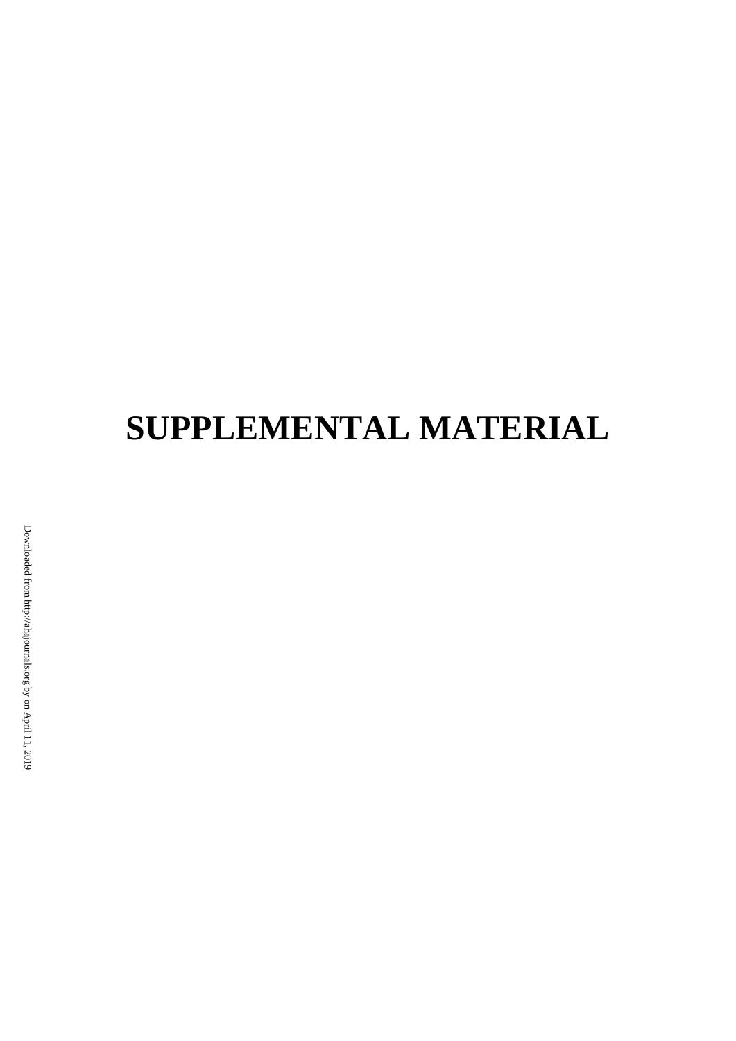# **SUPPLEMENTAL MATERIAL**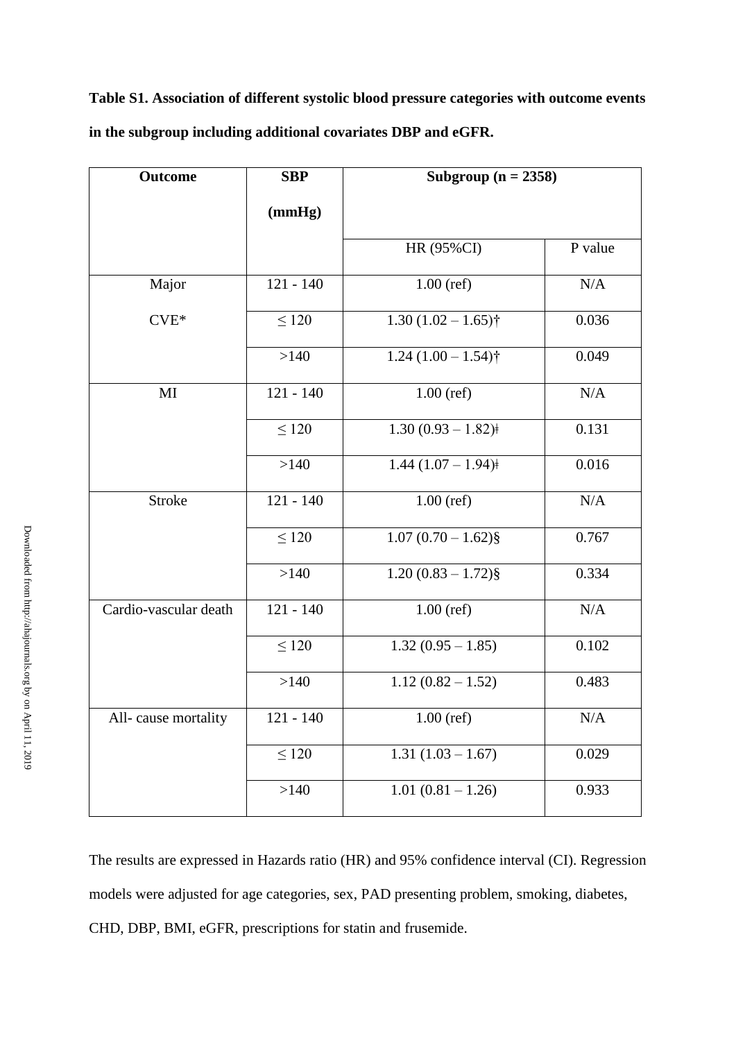**Table S1. Association of different systolic blood pressure categories with outcome events in the subgroup including additional covariates DBP and eGFR.** 

| Outcome               | <b>SBP</b>  | Subgroup $(n = 2358)$               |           |
|-----------------------|-------------|-------------------------------------|-----------|
|                       | (mmHg)      |                                     |           |
|                       |             | HR (95%CI)                          | P value   |
| Major                 | $121 - 140$ | $1.00$ (ref)                        | N/A       |
| $CVE^*$               | $\leq 120$  | $1.30(1.02 - 1.65)$ †               | 0.036     |
|                       | >140        | $1.24$ $(1.00 - 1.54)$ <sup>†</sup> | 0.049     |
| MI                    | $121 - 140$ | $1.00$ (ref)                        | $\rm N/A$ |
|                       | $\leq 120$  | $1.30(0.93 - 1.82)$                 | 0.131     |
|                       | >140        | $1.44(1.07 - 1.94)$                 | 0.016     |
| <b>Stroke</b>         | $121 - 140$ | $1.00$ (ref)                        | $\rm N/A$ |
|                       | $\leq 120$  | $1.07(0.70-1.62)\$                  | 0.767     |
|                       | >140        | $1.20(0.83 - 1.72)\$                | 0.334     |
| Cardio-vascular death | $121 - 140$ | $1.00$ (ref)                        | $\rm N/A$ |
|                       | $\leq 120$  | $1.32(0.95 - 1.85)$                 | 0.102     |
|                       | >140        | $1.12(0.82 - 1.52)$                 | 0.483     |
| All-cause mortality   | $121 - 140$ | $1.00$ (ref)                        | N/A       |
|                       | $\leq 120$  | $1.31(1.03 - 1.67)$                 | 0.029     |
|                       | >140        | $1.01(0.81 - 1.26)$                 | 0.933     |

The results are expressed in Hazards ratio (HR) and 95% confidence interval (CI). Regression models were adjusted for age categories, sex, PAD presenting problem, smoking, diabetes, CHD, DBP, BMI, eGFR, prescriptions for statin and frusemide.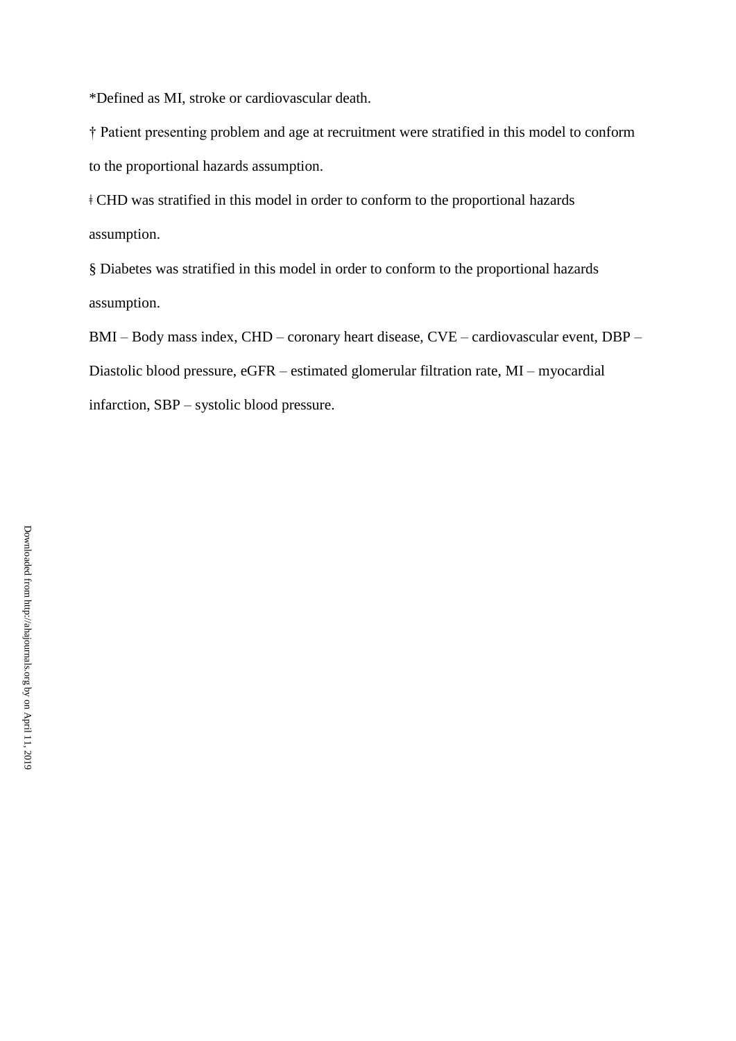\*Defined as MI, stroke or cardiovascular death.

† Patient presenting problem and age at recruitment were stratified in this model to conform to the proportional hazards assumption.

ǂ CHD was stratified in this model in order to conform to the proportional hazards assumption.

§ Diabetes was stratified in this model in order to conform to the proportional hazards assumption.

BMI – Body mass index, CHD – coronary heart disease, CVE – cardiovascular event, DBP – Diastolic blood pressure, eGFR – estimated glomerular filtration rate, MI – myocardial infarction, SBP – systolic blood pressure.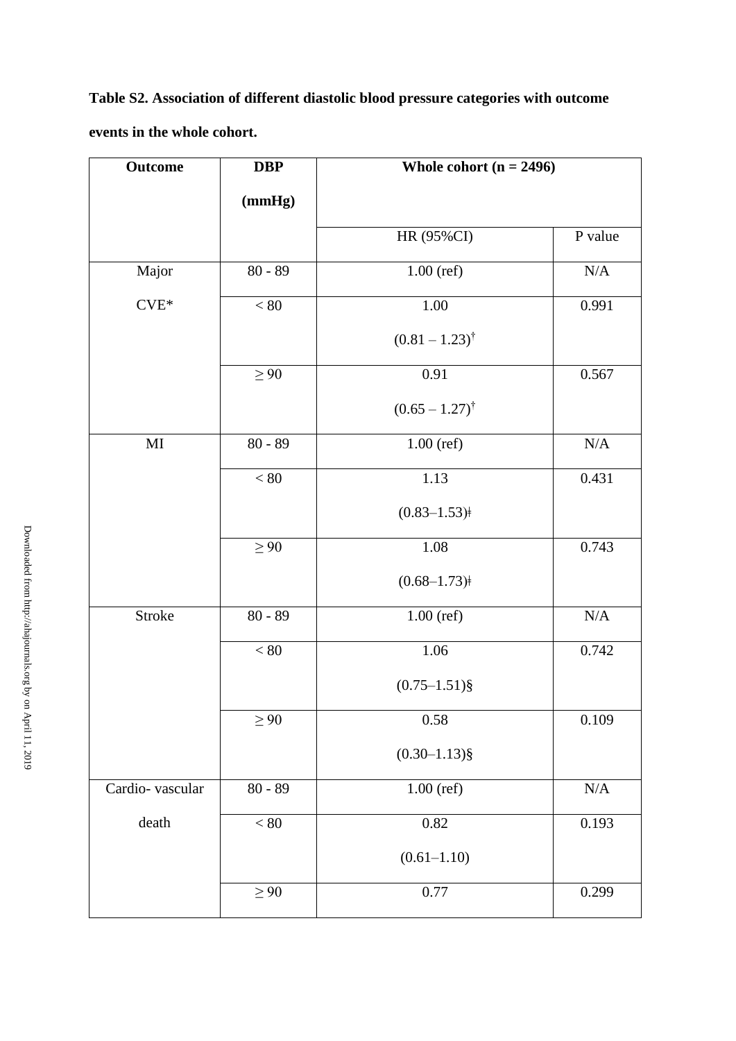**Table S2. Association of different diastolic blood pressure categories with outcome events in the whole cohort.**

| <b>Outcome</b>         | <b>DBP</b> | Whole cohort $(n = 2496)$ |           |
|------------------------|------------|---------------------------|-----------|
|                        | (mmHg)     |                           |           |
|                        |            |                           |           |
|                        |            | HR (95%CI)                | P value   |
| Major                  | $80 - 89$  | $1.00$ (ref)              | $\rm N/A$ |
| $\text{CVE*}$          | $< 80\,$   | $1.00\,$                  | 0.991     |
|                        |            | $(0.81 - 1.23)^{\dagger}$ |           |
|                        | $\geq 90$  | 0.91                      | 0.567     |
|                        |            | $(0.65 - 1.27)^{\dagger}$ |           |
| $\mathbf{M}\mathbf{I}$ | $80 - 89$  | $1.00$ (ref)              | $\rm N/A$ |
|                        | $< 80\,$   | 1.13                      | 0.431     |
|                        |            | $(0.83 - 1.53)$           |           |
|                        | $\geq 90$  | 1.08                      | 0.743     |
|                        |            | $(0.68 - 1.73)$           |           |
| <b>Stroke</b>          | $80 - 89$  | $1.00$ (ref)              | $\rm N/A$ |
|                        | $< 80\,$   | 1.06                      | 0.742     |
|                        |            | $(0.75 - 1.51)$ §         |           |
|                        | $\geq 90$  | 0.58                      | 0.109     |
|                        |            | $(0.30 - 1.13)$ §         |           |
| Cardio-vascular        | $80 - 89$  | $1.00$ (ref)              | $\rm N/A$ |
| death                  | $< 80\,$   | 0.82                      | 0.193     |
|                        |            | $(0.61 - 1.10)$           |           |
|                        | $\geq 90$  | 0.77                      | 0.299     |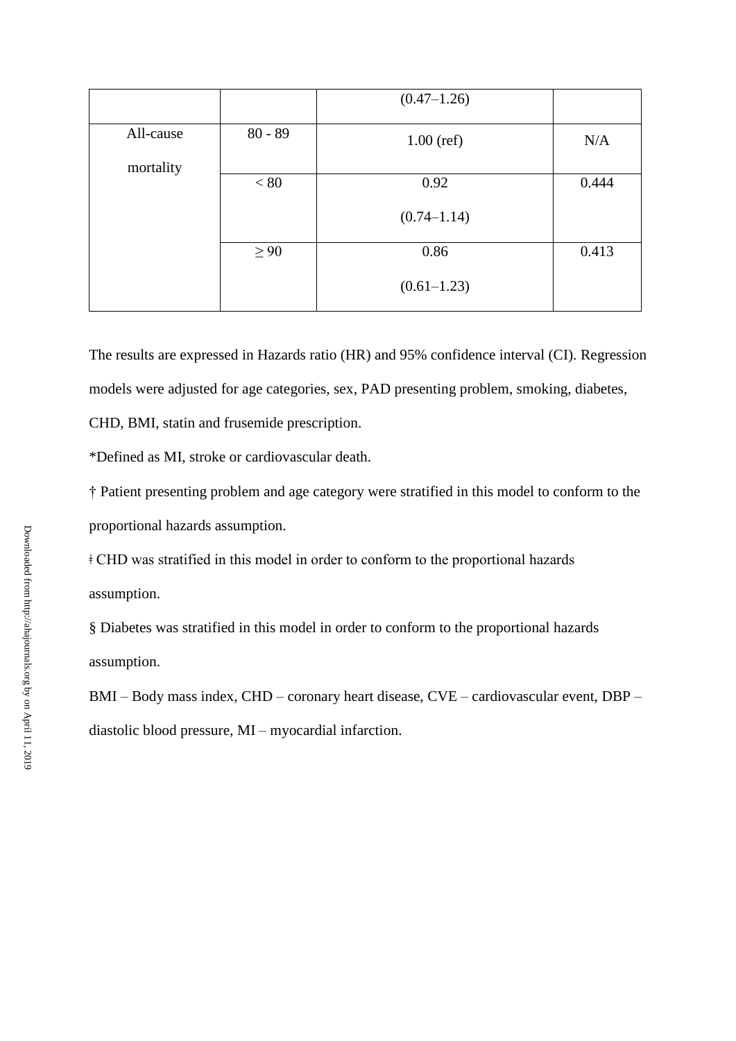|           |           | $(0.47 - 1.26)$ |       |
|-----------|-----------|-----------------|-------|
| All-cause | $80 - 89$ | $1.00$ (ref)    | N/A   |
| mortality |           |                 |       |
|           | < 80      | 0.92            | 0.444 |
|           |           | $(0.74 - 1.14)$ |       |
|           | $\geq 90$ | 0.86            | 0.413 |
|           |           | $(0.61 - 1.23)$ |       |

The results are expressed in Hazards ratio (HR) and 95% confidence interval (CI). Regression models were adjusted for age categories, sex, PAD presenting problem, smoking, diabetes,

CHD, BMI, statin and frusemide prescription.

\*Defined as MI, stroke or cardiovascular death.

† Patient presenting problem and age category were stratified in this model to conform to the proportional hazards assumption.

ǂ CHD was stratified in this model in order to conform to the proportional hazards

assumption.

§ Diabetes was stratified in this model in order to conform to the proportional hazards assumption.

BMI – Body mass index, CHD – coronary heart disease, CVE – cardiovascular event, DBP – diastolic blood pressure, MI – myocardial infarction.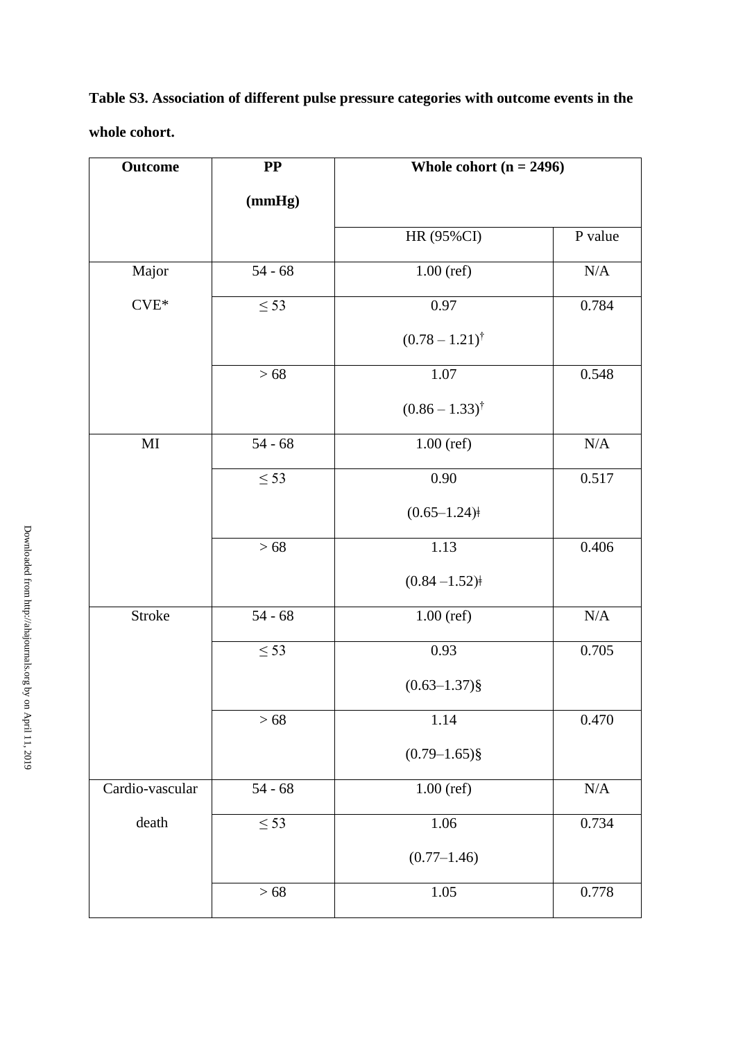**Table S3. Association of different pulse pressure categories with outcome events in the whole cohort.**

| Outcome                | $\bf PP$       | Whole cohort $(n = 2496)$ |           |
|------------------------|----------------|---------------------------|-----------|
|                        | (mmHg)         |                           |           |
|                        |                | HR (95%CI)                | P value   |
| Major                  | $54 - 68$      | $1.00$ (ref)              | $\rm N/A$ |
| $CVE^*$                | $\leq$ 53      | 0.97                      | 0.784     |
|                        |                | $(0.78 - 1.21)^{\dagger}$ |           |
|                        | $>68$          | $1.07\,$                  | 0.548     |
|                        |                | $(0.86 - 1.33)^{\dagger}$ |           |
| $\mathbf{M}\mathbf{I}$ | $54 - 68$      | $1.00$ (ref)              | $\rm N/A$ |
|                        | $\leq$ 53      | 0.90                      | 0.517     |
|                        |                | $(0.65 - 1.24)$           |           |
|                        | $>68$          | 1.13                      | 0.406     |
|                        |                | $(0.84 - 1.52)$           |           |
| <b>Stroke</b>          | $54 - 68$      | $1.00$ (ref)              | $\rm N/A$ |
|                        | $\leq 53$      | 0.93                      | 0.705     |
|                        |                | $(0.63 - 1.37)$ §         |           |
|                        | $\frac{1}{68}$ | 1.14                      | 0.470     |
|                        |                | $(0.79-1.65)\$            |           |
| Cardio-vascular        | $54 - 68$      | $1.00$ (ref)              | $\rm N/A$ |
| death                  | $\leq 53$      | 1.06                      | 0.734     |
|                        |                | $(0.77-1.46)$             |           |
|                        | $>68$          | 1.05                      | 0.778     |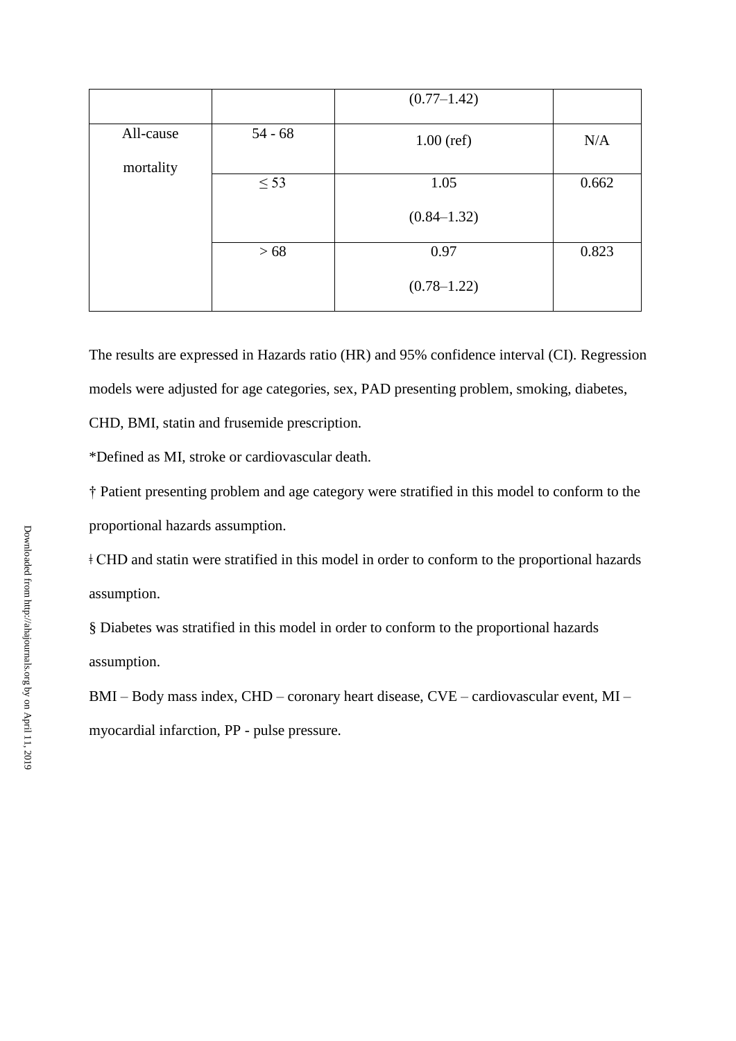|           |           | $(0.77-1.42)$   |       |
|-----------|-----------|-----------------|-------|
| All-cause | $54 - 68$ | $1.00$ (ref)    | N/A   |
| mortality |           |                 |       |
|           | $\leq$ 53 | 1.05            | 0.662 |
|           |           | $(0.84 - 1.32)$ |       |
|           | >68       | 0.97            | 0.823 |
|           |           | $(0.78 - 1.22)$ |       |

The results are expressed in Hazards ratio (HR) and 95% confidence interval (CI). Regression models were adjusted for age categories, sex, PAD presenting problem, smoking, diabetes,

CHD, BMI, statin and frusemide prescription.

\*Defined as MI, stroke or cardiovascular death.

† Patient presenting problem and age category were stratified in this model to conform to the proportional hazards assumption.

ǂ CHD and statin were stratified in this model in order to conform to the proportional hazards assumption.

§ Diabetes was stratified in this model in order to conform to the proportional hazards assumption.

BMI – Body mass index, CHD – coronary heart disease, CVE – cardiovascular event, MI – myocardial infarction, PP - pulse pressure.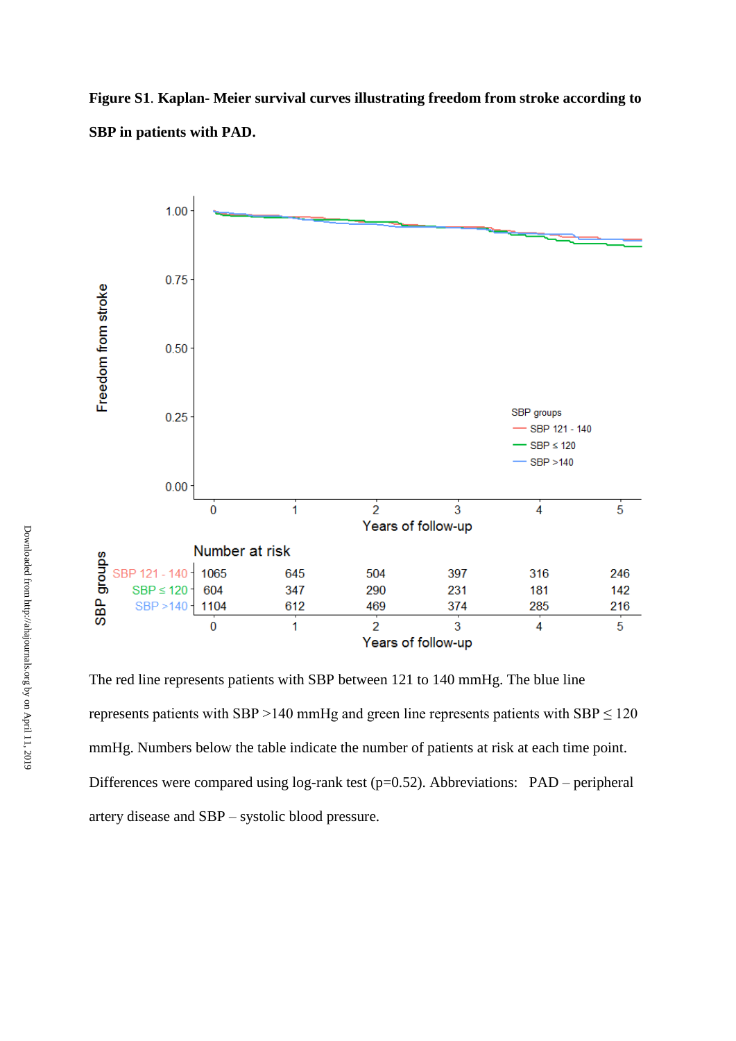**Figure S1**. **Kaplan- Meier survival curves illustrating freedom from stroke according to SBP in patients with PAD.**



The red line represents patients with SBP between 121 to 140 mmHg. The blue line represents patients with SBP >140 mmHg and green line represents patients with SBP  $\leq$  120 mmHg. Numbers below the table indicate the number of patients at risk at each time point. Differences were compared using log-rank test (p=0.52). Abbreviations: PAD – peripheral artery disease and SBP – systolic blood pressure.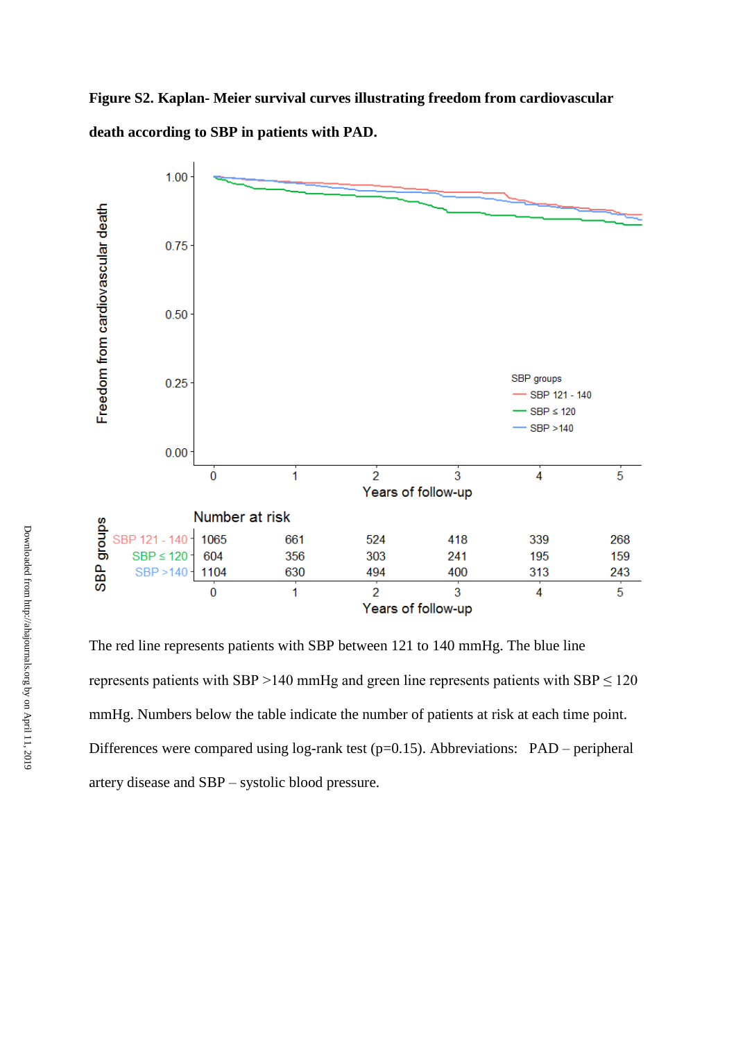



The red line represents patients with SBP between 121 to 140 mmHg. The blue line represents patients with SBP >140 mmHg and green line represents patients with SBP  $\leq$  120 mmHg. Numbers below the table indicate the number of patients at risk at each time point. Differences were compared using log-rank test (p=0.15). Abbreviations: PAD – peripheral artery disease and SBP – systolic blood pressure.